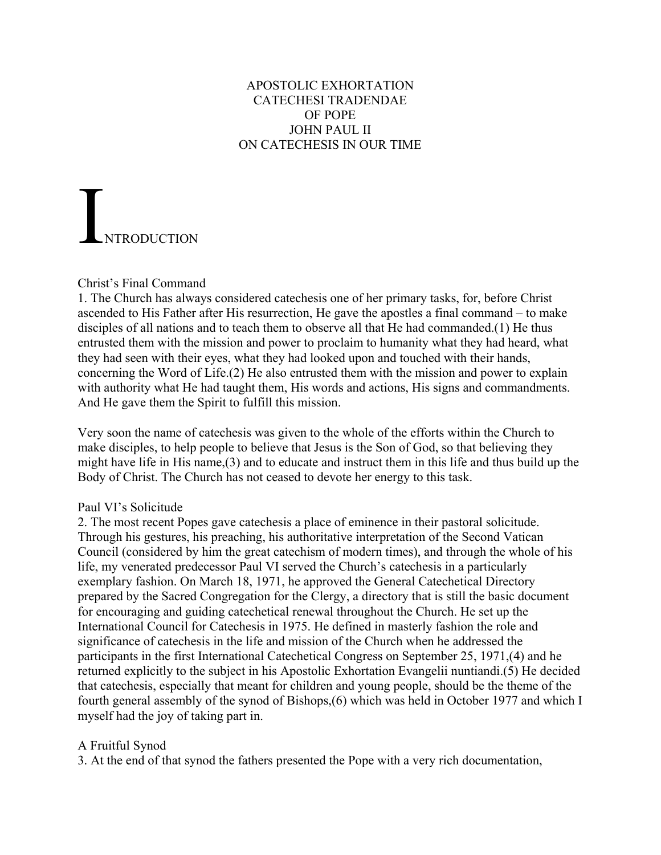# APOSTOLIC EXHORTATION CATECHESI TRADENDAE OF POPE JOHN PAUL II ON CATECHESIS IN OUR TIME

# NTRODUCTION

## Christ's Final Command

1. The Church has always considered catechesis one of her primary tasks, for, before Christ ascended to His Father after His resurrection, He gave the apostles a final command – to make disciples of all nations and to teach them to observe all that He had commanded.(1) He thus entrusted them with the mission and power to proclaim to humanity what they had heard, what they had seen with their eyes, what they had looked upon and touched with their hands, concerning the Word of Life.(2) He also entrusted them with the mission and power to explain with authority what He had taught them, His words and actions, His signs and commandments. And He gave them the Spirit to fulfill this mission.

Very soon the name of catechesis was given to the whole of the efforts within the Church to make disciples, to help people to believe that Jesus is the Son of God, so that believing they might have life in His name,(3) and to educate and instruct them in this life and thus build up the Body of Christ. The Church has not ceased to devote her energy to this task.

## Paul VI's Solicitude

2. The most recent Popes gave catechesis a place of eminence in their pastoral solicitude. Through his gestures, his preaching, his authoritative interpretation of the Second Vatican Council (considered by him the great catechism of modern times), and through the whole of his life, my venerated predecessor Paul VI served the Church's catechesis in a particularly exemplary fashion. On March 18, 1971, he approved the General Catechetical Directory prepared by the Sacred Congregation for the Clergy, a directory that is still the basic document for encouraging and guiding catechetical renewal throughout the Church. He set up the International Council for Catechesis in 1975. He defined in masterly fashion the role and significance of catechesis in the life and mission of the Church when he addressed the participants in the first International Catechetical Congress on September 25, 1971,(4) and he returned explicitly to the subject in his Apostolic Exhortation Evangelii nuntiandi.(5) He decided that catechesis, especially that meant for children and young people, should be the theme of the fourth general assembly of the synod of Bishops,(6) which was held in October 1977 and which I myself had the joy of taking part in.

## A Fruitful Synod

3. At the end of that synod the fathers presented the Pope with a very rich documentation,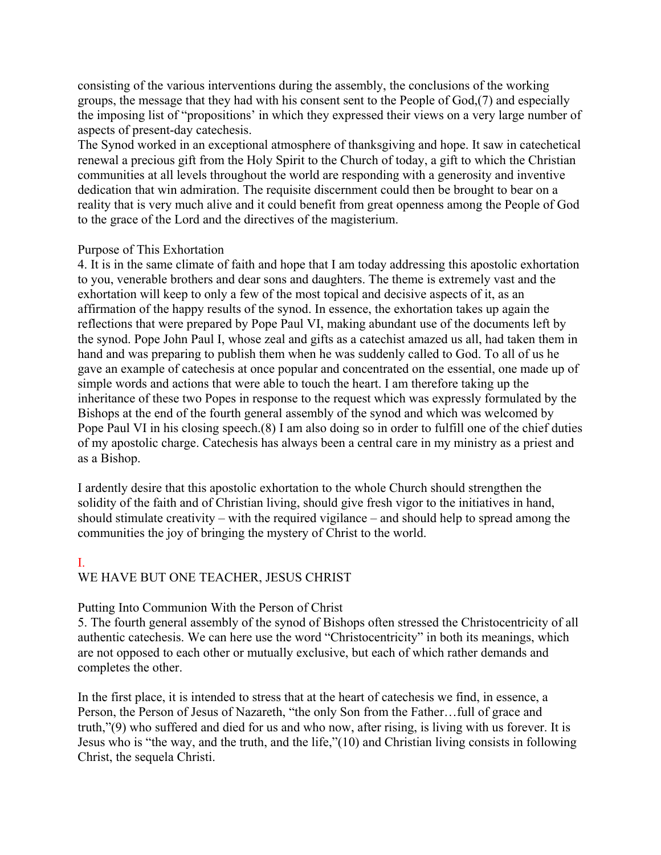consisting of the various interventions during the assembly, the conclusions of the working groups, the message that they had with his consent sent to the People of God,(7) and especially the imposing list of "propositions' in which they expressed their views on a very large number of aspects of present-day catechesis.

The Synod worked in an exceptional atmosphere of thanksgiving and hope. It saw in catechetical renewal a precious gift from the Holy Spirit to the Church of today, a gift to which the Christian communities at all levels throughout the world are responding with a generosity and inventive dedication that win admiration. The requisite discernment could then be brought to bear on a reality that is very much alive and it could benefit from great openness among the People of God to the grace of the Lord and the directives of the magisterium.

## Purpose of This Exhortation

4. It is in the same climate of faith and hope that I am today addressing this apostolic exhortation to you, venerable brothers and dear sons and daughters. The theme is extremely vast and the exhortation will keep to only a few of the most topical and decisive aspects of it, as an affirmation of the happy results of the synod. In essence, the exhortation takes up again the reflections that were prepared by Pope Paul VI, making abundant use of the documents left by the synod. Pope John Paul I, whose zeal and gifts as a catechist amazed us all, had taken them in hand and was preparing to publish them when he was suddenly called to God. To all of us he gave an example of catechesis at once popular and concentrated on the essential, one made up of simple words and actions that were able to touch the heart. I am therefore taking up the inheritance of these two Popes in response to the request which was expressly formulated by the Bishops at the end of the fourth general assembly of the synod and which was welcomed by Pope Paul VI in his closing speech.(8) I am also doing so in order to fulfill one of the chief duties of my apostolic charge. Catechesis has always been a central care in my ministry as a priest and as a Bishop.

I ardently desire that this apostolic exhortation to the whole Church should strengthen the solidity of the faith and of Christian living, should give fresh vigor to the initiatives in hand, should stimulate creativity – with the required vigilance – and should help to spread among the communities the joy of bringing the mystery of Christ to the world.

## I. WE HAVE BUT ONE TEACHER, JESUS CHRIST

## Putting Into Communion With the Person of Christ

5. The fourth general assembly of the synod of Bishops often stressed the Christocentricity of all authentic catechesis. We can here use the word "Christocentricity" in both its meanings, which are not opposed to each other or mutually exclusive, but each of which rather demands and completes the other.

In the first place, it is intended to stress that at the heart of catechesis we find, in essence, a Person, the Person of Jesus of Nazareth, "the only Son from the Father…full of grace and truth,"(9) who suffered and died for us and who now, after rising, is living with us forever. It is Jesus who is "the way, and the truth, and the life,"(10) and Christian living consists in following Christ, the sequela Christi.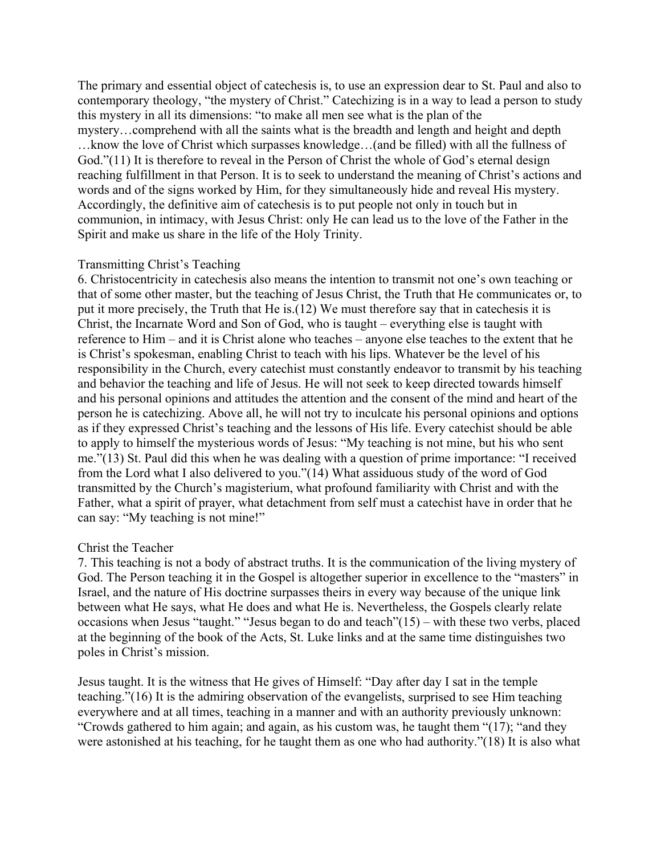The primary and essential object of catechesis is, to use an expression dear to St. Paul and also to contemporary theology, "the mystery of Christ." Catechizing is in a way to lead a person to study this mystery in all its dimensions: "to make all men see what is the plan of the mystery…comprehend with all the saints what is the breadth and length and height and depth …know the love of Christ which surpasses knowledge…(and be filled) with all the fullness of God."(11) It is therefore to reveal in the Person of Christ the whole of God's eternal design reaching fulfillment in that Person. It is to seek to understand the meaning of Christ's actions and words and of the signs worked by Him, for they simultaneously hide and reveal His mystery. Accordingly, the definitive aim of catechesis is to put people not only in touch but in communion, in intimacy, with Jesus Christ: only He can lead us to the love of the Father in the Spirit and make us share in the life of the Holy Trinity.

#### Transmitting Christ's Teaching

6. Christocentricity in catechesis also means the intention to transmit not one's own teaching or that of some other master, but the teaching of Jesus Christ, the Truth that He communicates or, to put it more precisely, the Truth that He is.(12) We must therefore say that in catechesis it is Christ, the Incarnate Word and Son of God, who is taught – everything else is taught with reference to Him – and it is Christ alone who teaches – anyone else teaches to the extent that he is Christ's spokesman, enabling Christ to teach with his lips. Whatever be the level of his responsibility in the Church, every catechist must constantly endeavor to transmit by his teaching and behavior the teaching and life of Jesus. He will not seek to keep directed towards himself and his personal opinions and attitudes the attention and the consent of the mind and heart of the person he is catechizing. Above all, he will not try to inculcate his personal opinions and options as if they expressed Christ's teaching and the lessons of His life. Every catechist should be able to apply to himself the mysterious words of Jesus: "My teaching is not mine, but his who sent me."(13) St. Paul did this when he was dealing with a question of prime importance: "I received from the Lord what I also delivered to you."(14) What assiduous study of the word of God transmitted by the Church's magisterium, what profound familiarity with Christ and with the Father, what a spirit of prayer, what detachment from self must a catechist have in order that he can say: "My teaching is not mine!"

## Christ the Teacher

7. This teaching is not a body of abstract truths. It is the communication of the living mystery of God. The Person teaching it in the Gospel is altogether superior in excellence to the "masters" in Israel, and the nature of His doctrine surpasses theirs in every way because of the unique link between what He says, what He does and what He is. Nevertheless, the Gospels clearly relate occasions when Jesus "taught." "Jesus began to do and teach"(15) – with these two verbs, placed at the beginning of the book of the Acts, St. Luke links and at the same time distinguishes two poles in Christ's mission.

Jesus taught. It is the witness that He gives of Himself: "Day after day I sat in the temple teaching."(16) It is the admiring observation of the evangelists, surprised to see Him teaching everywhere and at all times, teaching in a manner and with an authority previously unknown: "Crowds gathered to him again; and again, as his custom was, he taught them "(17); "and they were astonished at his teaching, for he taught them as one who had authority."(18) It is also what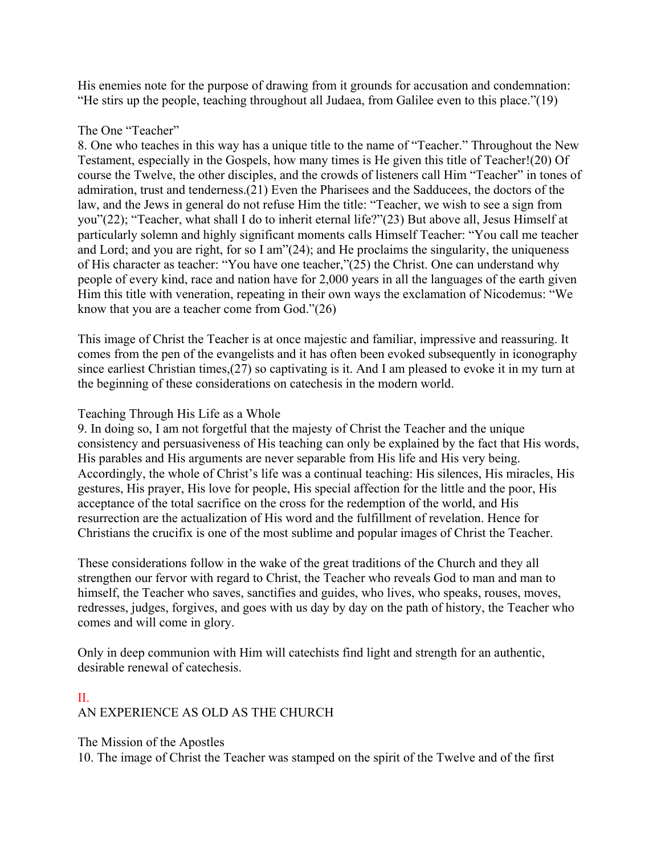His enemies note for the purpose of drawing from it grounds for accusation and condemnation: "He stirs up the people, teaching throughout all Judaea, from Galilee even to this place."(19)

# The One "Teacher"

8. One who teaches in this way has a unique title to the name of "Teacher." Throughout the New Testament, especially in the Gospels, how many times is He given this title of Teacher!(20) Of course the Twelve, the other disciples, and the crowds of listeners call Him "Teacher" in tones of admiration, trust and tenderness.(21) Even the Pharisees and the Sadducees, the doctors of the law, and the Jews in general do not refuse Him the title: "Teacher, we wish to see a sign from you"(22); "Teacher, what shall I do to inherit eternal life?"(23) But above all, Jesus Himself at particularly solemn and highly significant moments calls Himself Teacher: "You call me teacher and Lord; and you are right, for so I am"(24); and He proclaims the singularity, the uniqueness of His character as teacher: "You have one teacher,"(25) the Christ. One can understand why people of every kind, race and nation have for 2,000 years in all the languages of the earth given Him this title with veneration, repeating in their own ways the exclamation of Nicodemus: "We know that you are a teacher come from God."(26)

This image of Christ the Teacher is at once majestic and familiar, impressive and reassuring. It comes from the pen of the evangelists and it has often been evoked subsequently in iconography since earliest Christian times,(27) so captivating is it. And I am pleased to evoke it in my turn at the beginning of these considerations on catechesis in the modern world.

# Teaching Through His Life as a Whole

9. In doing so, I am not forgetful that the majesty of Christ the Teacher and the unique consistency and persuasiveness of His teaching can only be explained by the fact that His words, His parables and His arguments are never separable from His life and His very being. Accordingly, the whole of Christ's life was a continual teaching: His silences, His miracles, His gestures, His prayer, His love for people, His special affection for the little and the poor, His acceptance of the total sacrifice on the cross for the redemption of the world, and His resurrection are the actualization of His word and the fulfillment of revelation. Hence for Christians the crucifix is one of the most sublime and popular images of Christ the Teacher.

These considerations follow in the wake of the great traditions of the Church and they all strengthen our fervor with regard to Christ, the Teacher who reveals God to man and man to himself, the Teacher who saves, sanctifies and guides, who lives, who speaks, rouses, moves, redresses, judges, forgives, and goes with us day by day on the path of history, the Teacher who comes and will come in glory.

Only in deep communion with Him will catechists find light and strength for an authentic, desirable renewal of catechesis.

# II. AN EXPERIENCE AS OLD AS THE CHURCH

The Mission of the Apostles

10. The image of Christ the Teacher was stamped on the spirit of the Twelve and of the first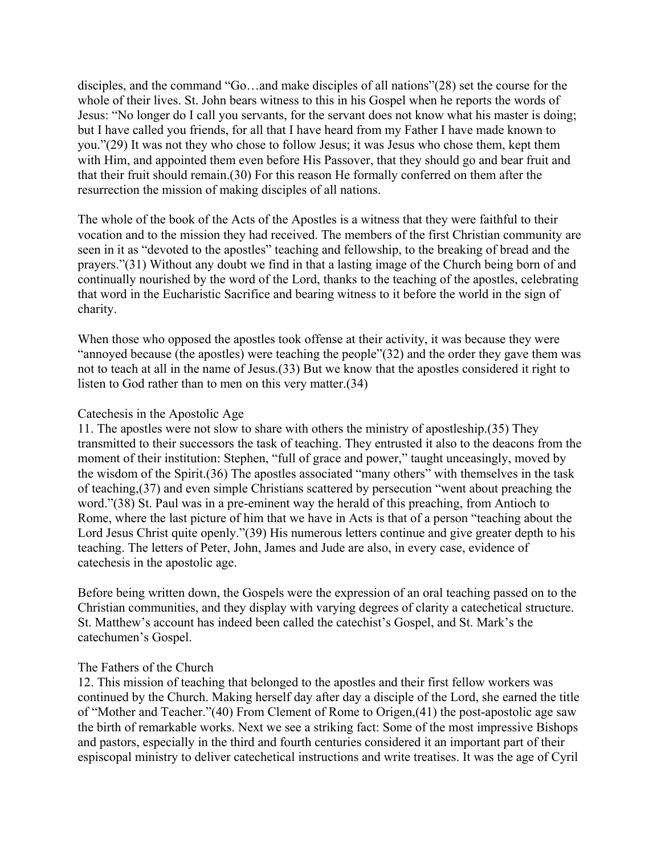disciples, and the command "Go…and make disciples of all nations"(28) set the course for the whole of their lives. St. John bears witness to this in his Gospel when he reports the words of Jesus: "No longer do I call you servants, for the servant does not know what his master is doing; but I have called you friends, for all that I have heard from my Father I have made known to you."(29) It was not they who chose to follow Jesus; it was Jesus who chose them, kept them with Him, and appointed them even before His Passover, that they should go and bear fruit and that their fruit should remain.(30) For this reason He formally conferred on them after the resurrection the mission of making disciples of all nations.

The whole of the book of the Acts of the Apostles is a witness that they were faithful to their vocation and to the mission they had received. The members of the first Christian community are seen in it as "devoted to the apostles" teaching and fellowship, to the breaking of bread and the prayers."(31) Without any doubt we find in that a lasting image of the Church being born of and continually nourished by the word of the Lord, thanks to the teaching of the apostles, celebrating that word in the Eucharistic Sacrifice and bearing witness to it before the world in the sign of charity.

When those who opposed the apostles took offense at their activity, it was because they were "annoyed because (the apostles) were teaching the people"(32) and the order they gave them was not to teach at all in the name of Jesus.(33) But we know that the apostles considered it right to listen to God rather than to men on this very matter.(34)

#### Catechesis in the Apostolic Age

11. The apostles were not slow to share with others the ministry of apostleship.(35) They transmitted to their successors the task of teaching. They entrusted it also to the deacons from the moment of their institution: Stephen, "full of grace and power," taught unceasingly, moved by the wisdom of the Spirit.(36) The apostles associated "many others" with themselves in the task of teaching,(37) and even simple Christians scattered by persecution "went about preaching the word."(38) St. Paul was in a pre-eminent way the herald of this preaching, from Antioch to Rome, where the last picture of him that we have in Acts is that of a person "teaching about the Lord Jesus Christ quite openly."(39) His numerous letters continue and give greater depth to his teaching. The letters of Peter, John, James and Jude are also, in every case, evidence of catechesis in the apostolic age.

Before being written down, the Gospels were the expression of an oral teaching passed on to the Christian communities, and they display with varying degrees of clarity a catechetical structure. St. Matthew's account has indeed been called the catechist's Gospel, and St. Mark's the catechumen's Gospel.

#### The Fathers of the Church

12. This mission of teaching that belonged to the apostles and their first fellow workers was continued by the Church. Making herself day after day a disciple of the Lord, she earned the title of "Mother and Teacher."(40) From Clement of Rome to Origen,(41) the post-apostolic age saw the birth of remarkable works. Next we see a striking fact: Some of the most impressive Bishops and pastors, especially in the third and fourth centuries considered it an important part of their espiscopal ministry to deliver catechetical instructions and write treatises. It was the age of Cyril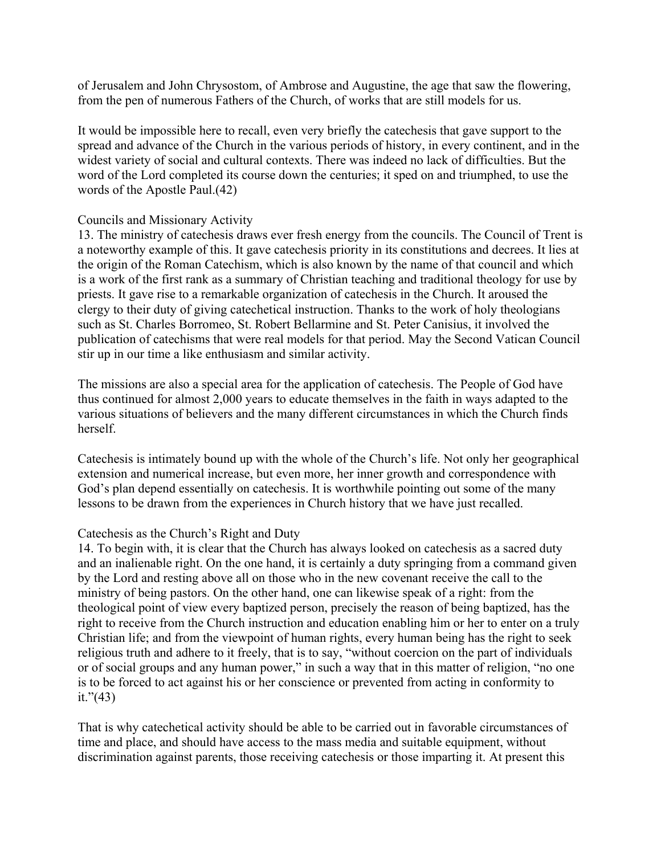of Jerusalem and John Chrysostom, of Ambrose and Augustine, the age that saw the flowering, from the pen of numerous Fathers of the Church, of works that are still models for us.

It would be impossible here to recall, even very briefly the catechesis that gave support to the spread and advance of the Church in the various periods of history, in every continent, and in the widest variety of social and cultural contexts. There was indeed no lack of difficulties. But the word of the Lord completed its course down the centuries; it sped on and triumphed, to use the words of the Apostle Paul.(42)

## Councils and Missionary Activity

13. The ministry of catechesis draws ever fresh energy from the councils. The Council of Trent is a noteworthy example of this. It gave catechesis priority in its constitutions and decrees. It lies at the origin of the Roman Catechism, which is also known by the name of that council and which is a work of the first rank as a summary of Christian teaching and traditional theology for use by priests. It gave rise to a remarkable organization of catechesis in the Church. It aroused the clergy to their duty of giving catechetical instruction. Thanks to the work of holy theologians such as St. Charles Borromeo, St. Robert Bellarmine and St. Peter Canisius, it involved the publication of catechisms that were real models for that period. May the Second Vatican Council stir up in our time a like enthusiasm and similar activity.

The missions are also a special area for the application of catechesis. The People of God have thus continued for almost 2,000 years to educate themselves in the faith in ways adapted to the various situations of believers and the many different circumstances in which the Church finds herself.

Catechesis is intimately bound up with the whole of the Church's life. Not only her geographical extension and numerical increase, but even more, her inner growth and correspondence with God's plan depend essentially on catechesis. It is worthwhile pointing out some of the many lessons to be drawn from the experiences in Church history that we have just recalled.

## Catechesis as the Church's Right and Duty

14. To begin with, it is clear that the Church has always looked on catechesis as a sacred duty and an inalienable right. On the one hand, it is certainly a duty springing from a command given by the Lord and resting above all on those who in the new covenant receive the call to the ministry of being pastors. On the other hand, one can likewise speak of a right: from the theological point of view every baptized person, precisely the reason of being baptized, has the right to receive from the Church instruction and education enabling him or her to enter on a truly Christian life; and from the viewpoint of human rights, every human being has the right to seek religious truth and adhere to it freely, that is to say, "without coercion on the part of individuals or of social groups and any human power," in such a way that in this matter of religion, "no one is to be forced to act against his or her conscience or prevented from acting in conformity to  $it." (43)$ 

That is why catechetical activity should be able to be carried out in favorable circumstances of time and place, and should have access to the mass media and suitable equipment, without discrimination against parents, those receiving catechesis or those imparting it. At present this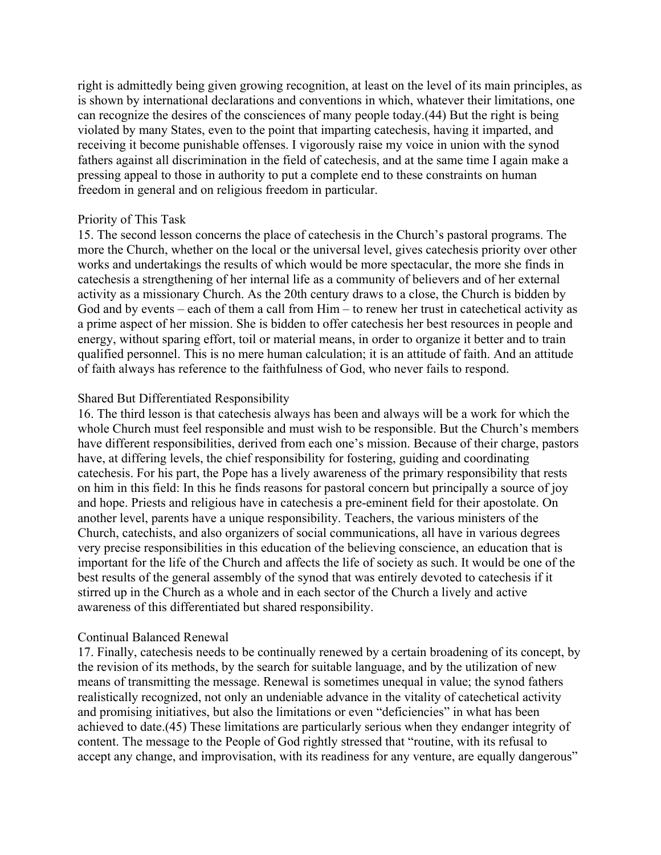right is admittedly being given growing recognition, at least on the level of its main principles, as is shown by international declarations and conventions in which, whatever their limitations, one can recognize the desires of the consciences of many people today.(44) But the right is being violated by many States, even to the point that imparting catechesis, having it imparted, and receiving it become punishable offenses. I vigorously raise my voice in union with the synod fathers against all discrimination in the field of catechesis, and at the same time I again make a pressing appeal to those in authority to put a complete end to these constraints on human freedom in general and on religious freedom in particular.

#### Priority of This Task

15. The second lesson concerns the place of catechesis in the Church's pastoral programs. The more the Church, whether on the local or the universal level, gives catechesis priority over other works and undertakings the results of which would be more spectacular, the more she finds in catechesis a strengthening of her internal life as a community of believers and of her external activity as a missionary Church. As the 20th century draws to a close, the Church is bidden by God and by events – each of them a call from Him – to renew her trust in catechetical activity as a prime aspect of her mission. She is bidden to offer catechesis her best resources in people and energy, without sparing effort, toil or material means, in order to organize it better and to train qualified personnel. This is no mere human calculation; it is an attitude of faith. And an attitude of faith always has reference to the faithfulness of God, who never fails to respond.

## Shared But Differentiated Responsibility

16. The third lesson is that catechesis always has been and always will be a work for which the whole Church must feel responsible and must wish to be responsible. But the Church's members have different responsibilities, derived from each one's mission. Because of their charge, pastors have, at differing levels, the chief responsibility for fostering, guiding and coordinating catechesis. For his part, the Pope has a lively awareness of the primary responsibility that rests on him in this field: In this he finds reasons for pastoral concern but principally a source of joy and hope. Priests and religious have in catechesis a pre-eminent field for their apostolate. On another level, parents have a unique responsibility. Teachers, the various ministers of the Church, catechists, and also organizers of social communications, all have in various degrees very precise responsibilities in this education of the believing conscience, an education that is important for the life of the Church and affects the life of society as such. It would be one of the best results of the general assembly of the synod that was entirely devoted to catechesis if it stirred up in the Church as a whole and in each sector of the Church a lively and active awareness of this differentiated but shared responsibility.

#### Continual Balanced Renewal

17. Finally, catechesis needs to be continually renewed by a certain broadening of its concept, by the revision of its methods, by the search for suitable language, and by the utilization of new means of transmitting the message. Renewal is sometimes unequal in value; the synod fathers realistically recognized, not only an undeniable advance in the vitality of catechetical activity and promising initiatives, but also the limitations or even "deficiencies" in what has been achieved to date.(45) These limitations are particularly serious when they endanger integrity of content. The message to the People of God rightly stressed that "routine, with its refusal to accept any change, and improvisation, with its readiness for any venture, are equally dangerous"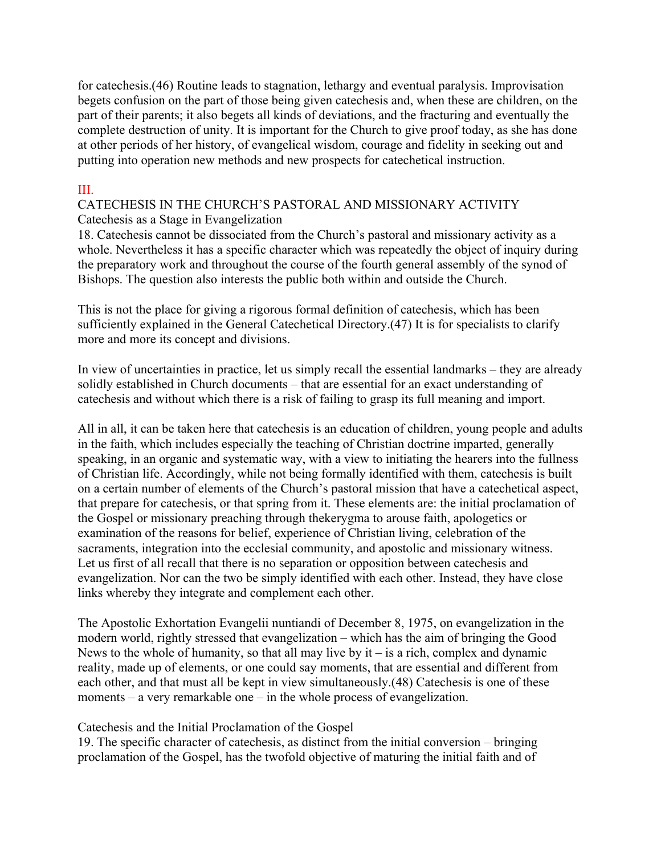for catechesis.(46) Routine leads to stagnation, lethargy and eventual paralysis. Improvisation begets confusion on the part of those being given catechesis and, when these are children, on the part of their parents; it also begets all kinds of deviations, and the fracturing and eventually the complete destruction of unity. It is important for the Church to give proof today, as she has done at other periods of her history, of evangelical wisdom, courage and fidelity in seeking out and putting into operation new methods and new prospects for catechetical instruction.

# III.

## CATECHESIS IN THE CHURCH'S PASTORAL AND MISSIONARY ACTIVITY Catechesis as a Stage in Evangelization

18. Catechesis cannot be dissociated from the Church's pastoral and missionary activity as a whole. Nevertheless it has a specific character which was repeatedly the object of inquiry during the preparatory work and throughout the course of the fourth general assembly of the synod of Bishops. The question also interests the public both within and outside the Church.

This is not the place for giving a rigorous formal definition of catechesis, which has been sufficiently explained in the General Catechetical Directory.(47) It is for specialists to clarify more and more its concept and divisions.

In view of uncertainties in practice, let us simply recall the essential landmarks – they are already solidly established in Church documents – that are essential for an exact understanding of catechesis and without which there is a risk of failing to grasp its full meaning and import.

All in all, it can be taken here that catechesis is an education of children, young people and adults in the faith, which includes especially the teaching of Christian doctrine imparted, generally speaking, in an organic and systematic way, with a view to initiating the hearers into the fullness of Christian life. Accordingly, while not being formally identified with them, catechesis is built on a certain number of elements of the Church's pastoral mission that have a catechetical aspect, that prepare for catechesis, or that spring from it. These elements are: the initial proclamation of the Gospel or missionary preaching through thekerygma to arouse faith, apologetics or examination of the reasons for belief, experience of Christian living, celebration of the sacraments, integration into the ecclesial community, and apostolic and missionary witness. Let us first of all recall that there is no separation or opposition between catechesis and evangelization. Nor can the two be simply identified with each other. Instead, they have close links whereby they integrate and complement each other.

The Apostolic Exhortation Evangelii nuntiandi of December 8, 1975, on evangelization in the modern world, rightly stressed that evangelization – which has the aim of bringing the Good News to the whole of humanity, so that all may live by it – is a rich, complex and dynamic reality, made up of elements, or one could say moments, that are essential and different from each other, and that must all be kept in view simultaneously.(48) Catechesis is one of these moments – a very remarkable one – in the whole process of evangelization.

## Catechesis and the Initial Proclamation of the Gospel

19. The specific character of catechesis, as distinct from the initial conversion – bringing proclamation of the Gospel, has the twofold objective of maturing the initial faith and of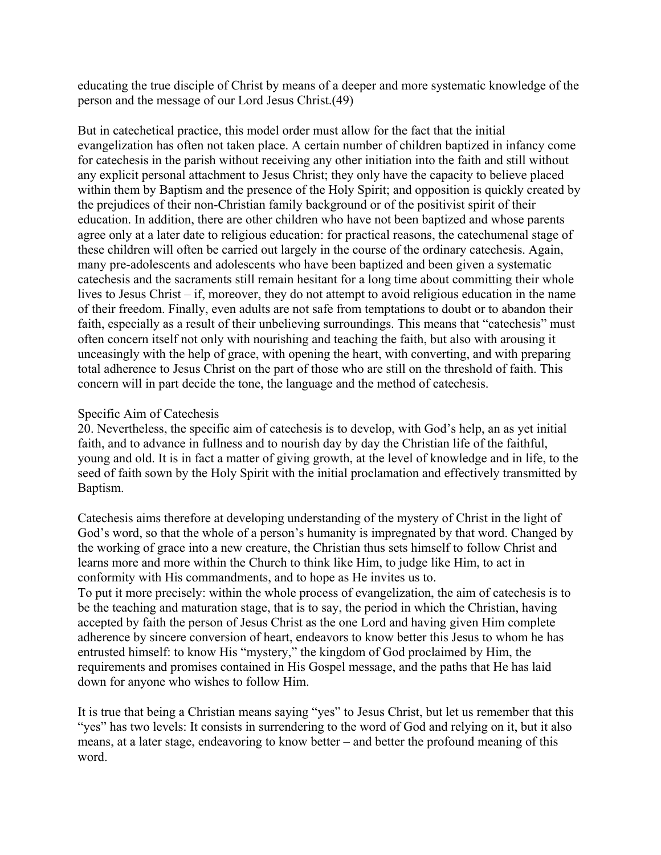educating the true disciple of Christ by means of a deeper and more systematic knowledge of the person and the message of our Lord Jesus Christ.(49)

But in catechetical practice, this model order must allow for the fact that the initial evangelization has often not taken place. A certain number of children baptized in infancy come for catechesis in the parish without receiving any other initiation into the faith and still without any explicit personal attachment to Jesus Christ; they only have the capacity to believe placed within them by Baptism and the presence of the Holy Spirit; and opposition is quickly created by the prejudices of their non-Christian family background or of the positivist spirit of their education. In addition, there are other children who have not been baptized and whose parents agree only at a later date to religious education: for practical reasons, the catechumenal stage of these children will often be carried out largely in the course of the ordinary catechesis. Again, many pre-adolescents and adolescents who have been baptized and been given a systematic catechesis and the sacraments still remain hesitant for a long time about committing their whole lives to Jesus Christ – if, moreover, they do not attempt to avoid religious education in the name of their freedom. Finally, even adults are not safe from temptations to doubt or to abandon their faith, especially as a result of their unbelieving surroundings. This means that "catechesis" must often concern itself not only with nourishing and teaching the faith, but also with arousing it unceasingly with the help of grace, with opening the heart, with converting, and with preparing total adherence to Jesus Christ on the part of those who are still on the threshold of faith. This concern will in part decide the tone, the language and the method of catechesis.

## Specific Aim of Catechesis

20. Nevertheless, the specific aim of catechesis is to develop, with God's help, an as yet initial faith, and to advance in fullness and to nourish day by day the Christian life of the faithful, young and old. It is in fact a matter of giving growth, at the level of knowledge and in life, to the seed of faith sown by the Holy Spirit with the initial proclamation and effectively transmitted by Baptism.

Catechesis aims therefore at developing understanding of the mystery of Christ in the light of God's word, so that the whole of a person's humanity is impregnated by that word. Changed by the working of grace into a new creature, the Christian thus sets himself to follow Christ and learns more and more within the Church to think like Him, to judge like Him, to act in conformity with His commandments, and to hope as He invites us to.

To put it more precisely: within the whole process of evangelization, the aim of catechesis is to be the teaching and maturation stage, that is to say, the period in which the Christian, having accepted by faith the person of Jesus Christ as the one Lord and having given Him complete adherence by sincere conversion of heart, endeavors to know better this Jesus to whom he has entrusted himself: to know His "mystery," the kingdom of God proclaimed by Him, the requirements and promises contained in His Gospel message, and the paths that He has laid down for anyone who wishes to follow Him.

It is true that being a Christian means saying "yes" to Jesus Christ, but let us remember that this "yes" has two levels: It consists in surrendering to the word of God and relying on it, but it also means, at a later stage, endeavoring to know better – and better the profound meaning of this word.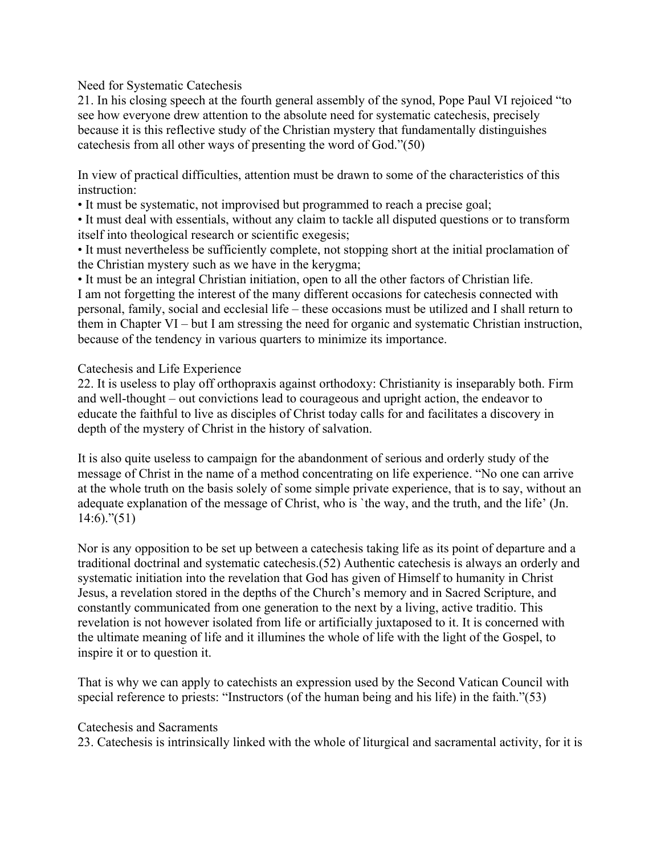Need for Systematic Catechesis

21. In his closing speech at the fourth general assembly of the synod, Pope Paul VI rejoiced "to see how everyone drew attention to the absolute need for systematic catechesis, precisely because it is this reflective study of the Christian mystery that fundamentally distinguishes catechesis from all other ways of presenting the word of God."(50)

In view of practical difficulties, attention must be drawn to some of the characteristics of this instruction:

• It must be systematic, not improvised but programmed to reach a precise goal;

• It must deal with essentials, without any claim to tackle all disputed questions or to transform itself into theological research or scientific exegesis;

• It must nevertheless be sufficiently complete, not stopping short at the initial proclamation of the Christian mystery such as we have in the kerygma;

• It must be an integral Christian initiation, open to all the other factors of Christian life. I am not forgetting the interest of the many different occasions for catechesis connected with personal, family, social and ecclesial life – these occasions must be utilized and I shall return to them in Chapter VI – but I am stressing the need for organic and systematic Christian instruction, because of the tendency in various quarters to minimize its importance.

Catechesis and Life Experience

22. It is useless to play off orthopraxis against orthodoxy: Christianity is inseparably both. Firm and well-thought – out convictions lead to courageous and upright action, the endeavor to educate the faithful to live as disciples of Christ today calls for and facilitates a discovery in depth of the mystery of Christ in the history of salvation.

It is also quite useless to campaign for the abandonment of serious and orderly study of the message of Christ in the name of a method concentrating on life experience. "No one can arrive at the whole truth on the basis solely of some simple private experience, that is to say, without an adequate explanation of the message of Christ, who is `the way, and the truth, and the life' (Jn.  $14:6$ ." $(51)$ 

Nor is any opposition to be set up between a catechesis taking life as its point of departure and a traditional doctrinal and systematic catechesis.(52) Authentic catechesis is always an orderly and systematic initiation into the revelation that God has given of Himself to humanity in Christ Jesus, a revelation stored in the depths of the Church's memory and in Sacred Scripture, and constantly communicated from one generation to the next by a living, active traditio. This revelation is not however isolated from life or artificially juxtaposed to it. It is concerned with the ultimate meaning of life and it illumines the whole of life with the light of the Gospel, to inspire it or to question it.

That is why we can apply to catechists an expression used by the Second Vatican Council with special reference to priests: "Instructors (of the human being and his life) in the faith."(53)

Catechesis and Sacraments

23. Catechesis is intrinsically linked with the whole of liturgical and sacramental activity, for it is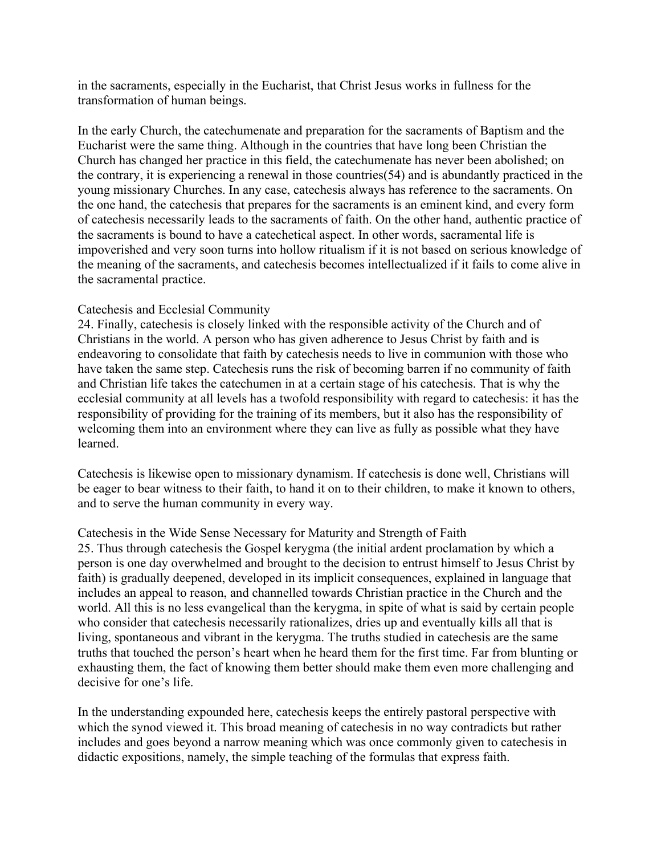in the sacraments, especially in the Eucharist, that Christ Jesus works in fullness for the transformation of human beings.

In the early Church, the catechumenate and preparation for the sacraments of Baptism and the Eucharist were the same thing. Although in the countries that have long been Christian the Church has changed her practice in this field, the catechumenate has never been abolished; on the contrary, it is experiencing a renewal in those countries(54) and is abundantly practiced in the young missionary Churches. In any case, catechesis always has reference to the sacraments. On the one hand, the catechesis that prepares for the sacraments is an eminent kind, and every form of catechesis necessarily leads to the sacraments of faith. On the other hand, authentic practice of the sacraments is bound to have a catechetical aspect. In other words, sacramental life is impoverished and very soon turns into hollow ritualism if it is not based on serious knowledge of the meaning of the sacraments, and catechesis becomes intellectualized if it fails to come alive in the sacramental practice.

## Catechesis and Ecclesial Community

24. Finally, catechesis is closely linked with the responsible activity of the Church and of Christians in the world. A person who has given adherence to Jesus Christ by faith and is endeavoring to consolidate that faith by catechesis needs to live in communion with those who have taken the same step. Catechesis runs the risk of becoming barren if no community of faith and Christian life takes the catechumen in at a certain stage of his catechesis. That is why the ecclesial community at all levels has a twofold responsibility with regard to catechesis: it has the responsibility of providing for the training of its members, but it also has the responsibility of welcoming them into an environment where they can live as fully as possible what they have learned.

Catechesis is likewise open to missionary dynamism. If catechesis is done well, Christians will be eager to bear witness to their faith, to hand it on to their children, to make it known to others, and to serve the human community in every way.

## Catechesis in the Wide Sense Necessary for Maturity and Strength of Faith

25. Thus through catechesis the Gospel kerygma (the initial ardent proclamation by which a person is one day overwhelmed and brought to the decision to entrust himself to Jesus Christ by faith) is gradually deepened, developed in its implicit consequences, explained in language that includes an appeal to reason, and channelled towards Christian practice in the Church and the world. All this is no less evangelical than the kerygma, in spite of what is said by certain people who consider that catechesis necessarily rationalizes, dries up and eventually kills all that is living, spontaneous and vibrant in the kerygma. The truths studied in catechesis are the same truths that touched the person's heart when he heard them for the first time. Far from blunting or exhausting them, the fact of knowing them better should make them even more challenging and decisive for one's life.

In the understanding expounded here, catechesis keeps the entirely pastoral perspective with which the synod viewed it. This broad meaning of catechesis in no way contradicts but rather includes and goes beyond a narrow meaning which was once commonly given to catechesis in didactic expositions, namely, the simple teaching of the formulas that express faith.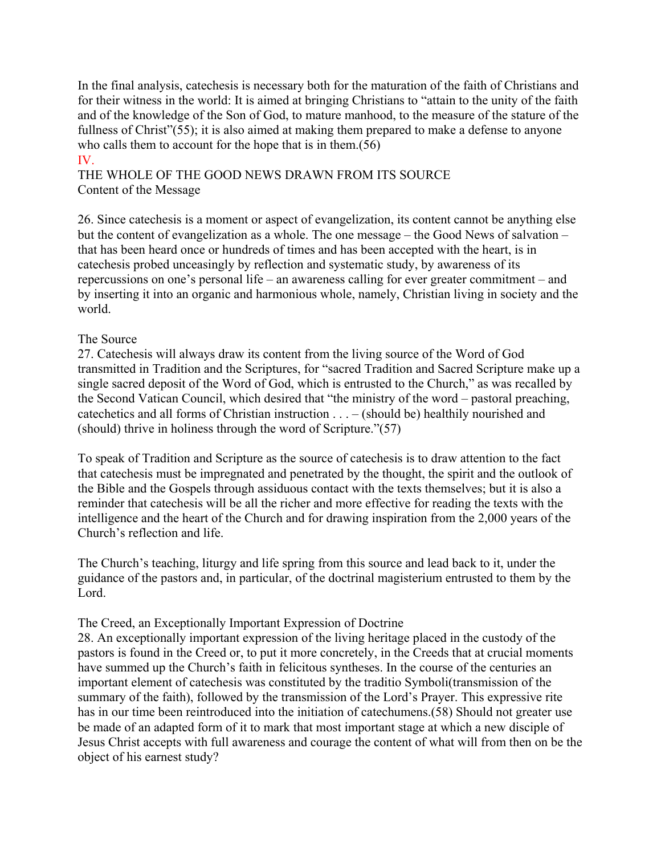In the final analysis, catechesis is necessary both for the maturation of the faith of Christians and for their witness in the world: It is aimed at bringing Christians to "attain to the unity of the faith and of the knowledge of the Son of God, to mature manhood, to the measure of the stature of the fullness of Christ"(55); it is also aimed at making them prepared to make a defense to anyone who calls them to account for the hope that is in them.(56)

#### IV.

THE WHOLE OF THE GOOD NEWS DRAWN FROM ITS SOURCE Content of the Message

26. Since catechesis is a moment or aspect of evangelization, its content cannot be anything else but the content of evangelization as a whole. The one message – the Good News of salvation – that has been heard once or hundreds of times and has been accepted with the heart, is in catechesis probed unceasingly by reflection and systematic study, by awareness of its repercussions on one's personal life – an awareness calling for ever greater commitment – and by inserting it into an organic and harmonious whole, namely, Christian living in society and the world.

## The Source

27. Catechesis will always draw its content from the living source of the Word of God transmitted in Tradition and the Scriptures, for "sacred Tradition and Sacred Scripture make up a single sacred deposit of the Word of God, which is entrusted to the Church," as was recalled by the Second Vatican Council, which desired that "the ministry of the word – pastoral preaching, catechetics and all forms of Christian instruction . . . – (should be) healthily nourished and (should) thrive in holiness through the word of Scripture."(57)

To speak of Tradition and Scripture as the source of catechesis is to draw attention to the fact that catechesis must be impregnated and penetrated by the thought, the spirit and the outlook of the Bible and the Gospels through assiduous contact with the texts themselves; but it is also a reminder that catechesis will be all the richer and more effective for reading the texts with the intelligence and the heart of the Church and for drawing inspiration from the 2,000 years of the Church's reflection and life.

The Church's teaching, liturgy and life spring from this source and lead back to it, under the guidance of the pastors and, in particular, of the doctrinal magisterium entrusted to them by the Lord.

## The Creed, an Exceptionally Important Expression of Doctrine

28. An exceptionally important expression of the living heritage placed in the custody of the pastors is found in the Creed or, to put it more concretely, in the Creeds that at crucial moments have summed up the Church's faith in felicitous syntheses. In the course of the centuries an important element of catechesis was constituted by the traditio Symboli(transmission of the summary of the faith), followed by the transmission of the Lord's Prayer. This expressive rite has in our time been reintroduced into the initiation of catechumens.(58) Should not greater use be made of an adapted form of it to mark that most important stage at which a new disciple of Jesus Christ accepts with full awareness and courage the content of what will from then on be the object of his earnest study?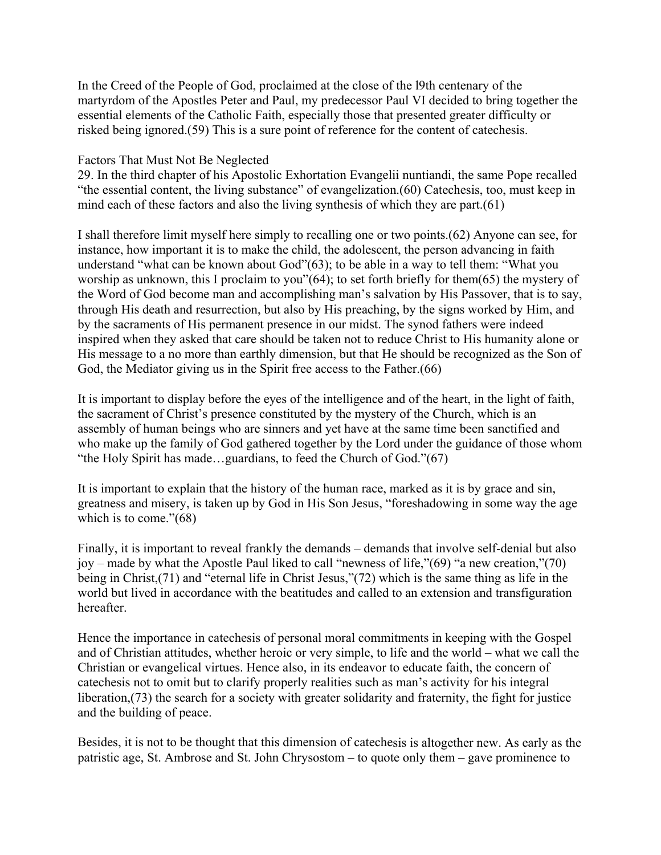In the Creed of the People of God, proclaimed at the close of the l9th centenary of the martyrdom of the Apostles Peter and Paul, my predecessor Paul VI decided to bring together the essential elements of the Catholic Faith, especially those that presented greater difficulty or risked being ignored.(59) This is a sure point of reference for the content of catechesis.

## Factors That Must Not Be Neglected

29. In the third chapter of his Apostolic Exhortation Evangelii nuntiandi, the same Pope recalled "the essential content, the living substance" of evangelization.(60) Catechesis, too, must keep in mind each of these factors and also the living synthesis of which they are part.(61)

I shall therefore limit myself here simply to recalling one or two points.(62) Anyone can see, for instance, how important it is to make the child, the adolescent, the person advancing in faith understand "what can be known about God"(63); to be able in a way to tell them: "What you worship as unknown, this I proclaim to you"(64); to set forth briefly for them(65) the mystery of the Word of God become man and accomplishing man's salvation by His Passover, that is to say, through His death and resurrection, but also by His preaching, by the signs worked by Him, and by the sacraments of His permanent presence in our midst. The synod fathers were indeed inspired when they asked that care should be taken not to reduce Christ to His humanity alone or His message to a no more than earthly dimension, but that He should be recognized as the Son of God, the Mediator giving us in the Spirit free access to the Father.(66)

It is important to display before the eyes of the intelligence and of the heart, in the light of faith, the sacrament of Christ's presence constituted by the mystery of the Church, which is an assembly of human beings who are sinners and yet have at the same time been sanctified and who make up the family of God gathered together by the Lord under the guidance of those whom "the Holy Spirit has made…guardians, to feed the Church of God."(67)

It is important to explain that the history of the human race, marked as it is by grace and sin, greatness and misery, is taken up by God in His Son Jesus, "foreshadowing in some way the age which is to come."(68)

Finally, it is important to reveal frankly the demands – demands that involve self-denial but also joy – made by what the Apostle Paul liked to call "newness of life,"(69) "a new creation,"(70) being in Christ, (71) and "eternal life in Christ Jesus," (72) which is the same thing as life in the world but lived in accordance with the beatitudes and called to an extension and transfiguration hereafter.

Hence the importance in catechesis of personal moral commitments in keeping with the Gospel and of Christian attitudes, whether heroic or very simple, to life and the world – what we call the Christian or evangelical virtues. Hence also, in its endeavor to educate faith, the concern of catechesis not to omit but to clarify properly realities such as man's activity for his integral liberation, (73) the search for a society with greater solidarity and fraternity, the fight for justice and the building of peace.

Besides, it is not to be thought that this dimension of catechesis is altogether new. As early as the patristic age, St. Ambrose and St. John Chrysostom – to quote only them – gave prominence to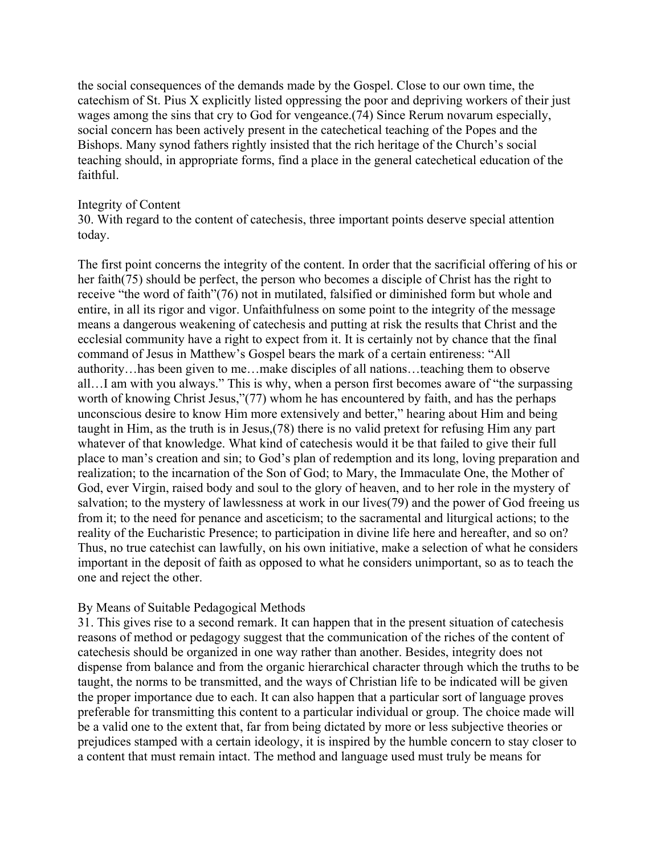the social consequences of the demands made by the Gospel. Close to our own time, the catechism of St. Pius X explicitly listed oppressing the poor and depriving workers of their just wages among the sins that cry to God for vengeance.(74) Since Rerum novarum especially, social concern has been actively present in the catechetical teaching of the Popes and the Bishops. Many synod fathers rightly insisted that the rich heritage of the Church's social teaching should, in appropriate forms, find a place in the general catechetical education of the faithful.

#### Integrity of Content

30. With regard to the content of catechesis, three important points deserve special attention today.

The first point concerns the integrity of the content. In order that the sacrificial offering of his or her faith(75) should be perfect, the person who becomes a disciple of Christ has the right to receive "the word of faith"(76) not in mutilated, falsified or diminished form but whole and entire, in all its rigor and vigor. Unfaithfulness on some point to the integrity of the message means a dangerous weakening of catechesis and putting at risk the results that Christ and the ecclesial community have a right to expect from it. It is certainly not by chance that the final command of Jesus in Matthew's Gospel bears the mark of a certain entireness: "All authority…has been given to me…make disciples of all nations…teaching them to observe all…I am with you always." This is why, when a person first becomes aware of "the surpassing worth of knowing Christ Jesus,"(77) whom he has encountered by faith, and has the perhaps unconscious desire to know Him more extensively and better," hearing about Him and being taught in Him, as the truth is in Jesus,(78) there is no valid pretext for refusing Him any part whatever of that knowledge. What kind of catechesis would it be that failed to give their full place to man's creation and sin; to God's plan of redemption and its long, loving preparation and realization; to the incarnation of the Son of God; to Mary, the Immaculate One, the Mother of God, ever Virgin, raised body and soul to the glory of heaven, and to her role in the mystery of salvation; to the mystery of lawlessness at work in our lives(79) and the power of God freeing us from it; to the need for penance and asceticism; to the sacramental and liturgical actions; to the reality of the Eucharistic Presence; to participation in divine life here and hereafter, and so on? Thus, no true catechist can lawfully, on his own initiative, make a selection of what he considers important in the deposit of faith as opposed to what he considers unimportant, so as to teach the one and reject the other.

#### By Means of Suitable Pedagogical Methods

31. This gives rise to a second remark. It can happen that in the present situation of catechesis reasons of method or pedagogy suggest that the communication of the riches of the content of catechesis should be organized in one way rather than another. Besides, integrity does not dispense from balance and from the organic hierarchical character through which the truths to be taught, the norms to be transmitted, and the ways of Christian life to be indicated will be given the proper importance due to each. It can also happen that a particular sort of language proves preferable for transmitting this content to a particular individual or group. The choice made will be a valid one to the extent that, far from being dictated by more or less subjective theories or prejudices stamped with a certain ideology, it is inspired by the humble concern to stay closer to a content that must remain intact. The method and language used must truly be means for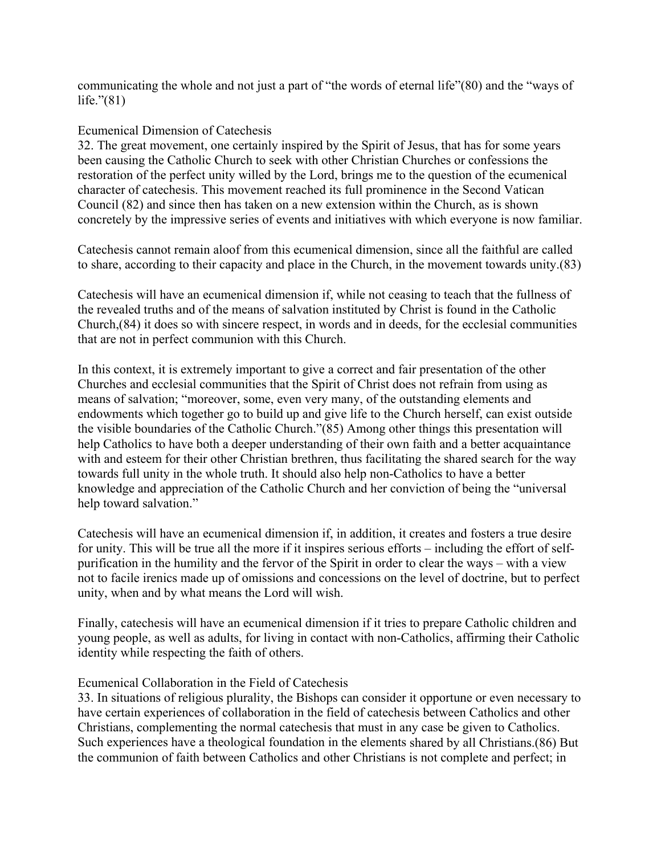communicating the whole and not just a part of "the words of eternal life"(80) and the "ways of life."(81)

## Ecumenical Dimension of Catechesis

32. The great movement, one certainly inspired by the Spirit of Jesus, that has for some years been causing the Catholic Church to seek with other Christian Churches or confessions the restoration of the perfect unity willed by the Lord, brings me to the question of the ecumenical character of catechesis. This movement reached its full prominence in the Second Vatican Council (82) and since then has taken on a new extension within the Church, as is shown concretely by the impressive series of events and initiatives with which everyone is now familiar.

Catechesis cannot remain aloof from this ecumenical dimension, since all the faithful are called to share, according to their capacity and place in the Church, in the movement towards unity.(83)

Catechesis will have an ecumenical dimension if, while not ceasing to teach that the fullness of the revealed truths and of the means of salvation instituted by Christ is found in the Catholic Church,(84) it does so with sincere respect, in words and in deeds, for the ecclesial communities that are not in perfect communion with this Church.

In this context, it is extremely important to give a correct and fair presentation of the other Churches and ecclesial communities that the Spirit of Christ does not refrain from using as means of salvation; "moreover, some, even very many, of the outstanding elements and endowments which together go to build up and give life to the Church herself, can exist outside the visible boundaries of the Catholic Church."(85) Among other things this presentation will help Catholics to have both a deeper understanding of their own faith and a better acquaintance with and esteem for their other Christian brethren, thus facilitating the shared search for the way towards full unity in the whole truth. It should also help non-Catholics to have a better knowledge and appreciation of the Catholic Church and her conviction of being the "universal help toward salvation."

Catechesis will have an ecumenical dimension if, in addition, it creates and fosters a true desire for unity. This will be true all the more if it inspires serious efforts – including the effort of selfpurification in the humility and the fervor of the Spirit in order to clear the ways – with a view not to facile irenics made up of omissions and concessions on the level of doctrine, but to perfect unity, when and by what means the Lord will wish.

Finally, catechesis will have an ecumenical dimension if it tries to prepare Catholic children and young people, as well as adults, for living in contact with non-Catholics, affirming their Catholic identity while respecting the faith of others.

## Ecumenical Collaboration in the Field of Catechesis

33. In situations of religious plurality, the Bishops can consider it opportune or even necessary to have certain experiences of collaboration in the field of catechesis between Catholics and other Christians, complementing the normal catechesis that must in any case be given to Catholics. Such experiences have a theological foundation in the elements shared by all Christians.(86) But the communion of faith between Catholics and other Christians is not complete and perfect; in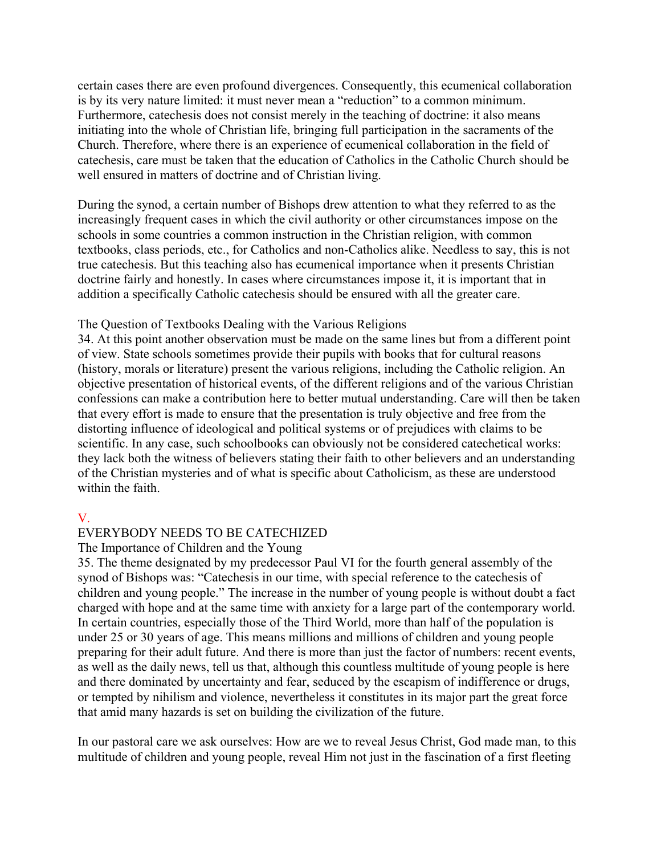certain cases there are even profound divergences. Consequently, this ecumenical collaboration is by its very nature limited: it must never mean a "reduction" to a common minimum. Furthermore, catechesis does not consist merely in the teaching of doctrine: it also means initiating into the whole of Christian life, bringing full participation in the sacraments of the Church. Therefore, where there is an experience of ecumenical collaboration in the field of catechesis, care must be taken that the education of Catholics in the Catholic Church should be well ensured in matters of doctrine and of Christian living.

During the synod, a certain number of Bishops drew attention to what they referred to as the increasingly frequent cases in which the civil authority or other circumstances impose on the schools in some countries a common instruction in the Christian religion, with common textbooks, class periods, etc., for Catholics and non-Catholics alike. Needless to say, this is not true catechesis. But this teaching also has ecumenical importance when it presents Christian doctrine fairly and honestly. In cases where circumstances impose it, it is important that in addition a specifically Catholic catechesis should be ensured with all the greater care.

## The Question of Textbooks Dealing with the Various Religions

34. At this point another observation must be made on the same lines but from a different point of view. State schools sometimes provide their pupils with books that for cultural reasons (history, morals or literature) present the various religions, including the Catholic religion. An objective presentation of historical events, of the different religions and of the various Christian confessions can make a contribution here to better mutual understanding. Care will then be taken that every effort is made to ensure that the presentation is truly objective and free from the distorting influence of ideological and political systems or of prejudices with claims to be scientific. In any case, such schoolbooks can obviously not be considered catechetical works: they lack both the witness of believers stating their faith to other believers and an understanding of the Christian mysteries and of what is specific about Catholicism, as these are understood within the faith.

## V.

# EVERYBODY NEEDS TO BE CATECHIZED

The Importance of Children and the Young

35. The theme designated by my predecessor Paul VI for the fourth general assembly of the synod of Bishops was: "Catechesis in our time, with special reference to the catechesis of children and young people." The increase in the number of young people is without doubt a fact charged with hope and at the same time with anxiety for a large part of the contemporary world. In certain countries, especially those of the Third World, more than half of the population is under 25 or 30 years of age. This means millions and millions of children and young people preparing for their adult future. And there is more than just the factor of numbers: recent events, as well as the daily news, tell us that, although this countless multitude of young people is here and there dominated by uncertainty and fear, seduced by the escapism of indifference or drugs, or tempted by nihilism and violence, nevertheless it constitutes in its major part the great force that amid many hazards is set on building the civilization of the future.

In our pastoral care we ask ourselves: How are we to reveal Jesus Christ, God made man, to this multitude of children and young people, reveal Him not just in the fascination of a first fleeting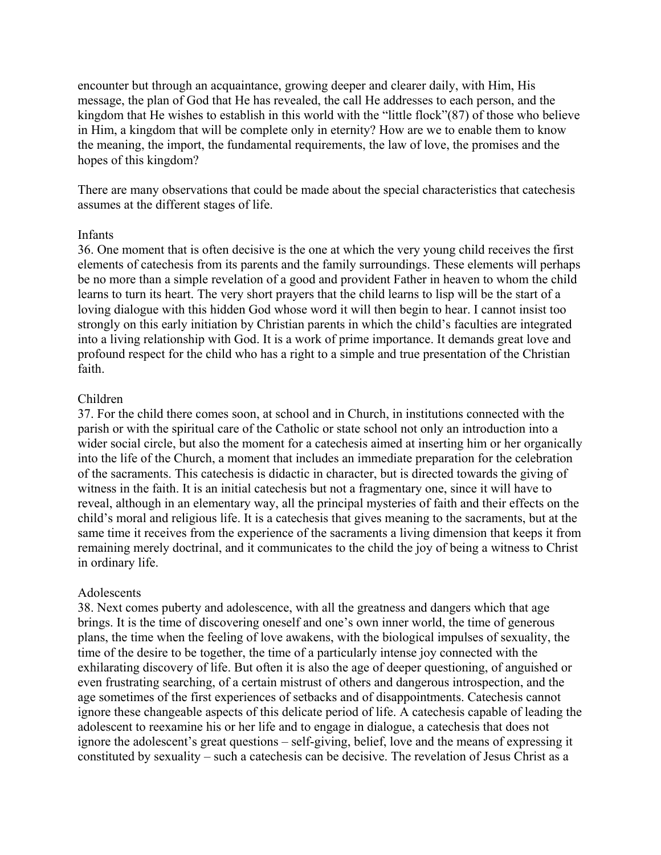encounter but through an acquaintance, growing deeper and clearer daily, with Him, His message, the plan of God that He has revealed, the call He addresses to each person, and the kingdom that He wishes to establish in this world with the "little flock"(87) of those who believe in Him, a kingdom that will be complete only in eternity? How are we to enable them to know the meaning, the import, the fundamental requirements, the law of love, the promises and the hopes of this kingdom?

There are many observations that could be made about the special characteristics that catechesis assumes at the different stages of life.

#### Infants

36. One moment that is often decisive is the one at which the very young child receives the first elements of catechesis from its parents and the family surroundings. These elements will perhaps be no more than a simple revelation of a good and provident Father in heaven to whom the child learns to turn its heart. The very short prayers that the child learns to lisp will be the start of a loving dialogue with this hidden God whose word it will then begin to hear. I cannot insist too strongly on this early initiation by Christian parents in which the child's faculties are integrated into a living relationship with God. It is a work of prime importance. It demands great love and profound respect for the child who has a right to a simple and true presentation of the Christian faith.

#### Children

37. For the child there comes soon, at school and in Church, in institutions connected with the parish or with the spiritual care of the Catholic or state school not only an introduction into a wider social circle, but also the moment for a catechesis aimed at inserting him or her organically into the life of the Church, a moment that includes an immediate preparation for the celebration of the sacraments. This catechesis is didactic in character, but is directed towards the giving of witness in the faith. It is an initial catechesis but not a fragmentary one, since it will have to reveal, although in an elementary way, all the principal mysteries of faith and their effects on the child's moral and religious life. It is a catechesis that gives meaning to the sacraments, but at the same time it receives from the experience of the sacraments a living dimension that keeps it from remaining merely doctrinal, and it communicates to the child the joy of being a witness to Christ in ordinary life.

#### Adolescents

38. Next comes puberty and adolescence, with all the greatness and dangers which that age brings. It is the time of discovering oneself and one's own inner world, the time of generous plans, the time when the feeling of love awakens, with the biological impulses of sexuality, the time of the desire to be together, the time of a particularly intense joy connected with the exhilarating discovery of life. But often it is also the age of deeper questioning, of anguished or even frustrating searching, of a certain mistrust of others and dangerous introspection, and the age sometimes of the first experiences of setbacks and of disappointments. Catechesis cannot ignore these changeable aspects of this delicate period of life. A catechesis capable of leading the adolescent to reexamine his or her life and to engage in dialogue, a catechesis that does not ignore the adolescent's great questions – self-giving, belief, love and the means of expressing it constituted by sexuality – such a catechesis can be decisive. The revelation of Jesus Christ as a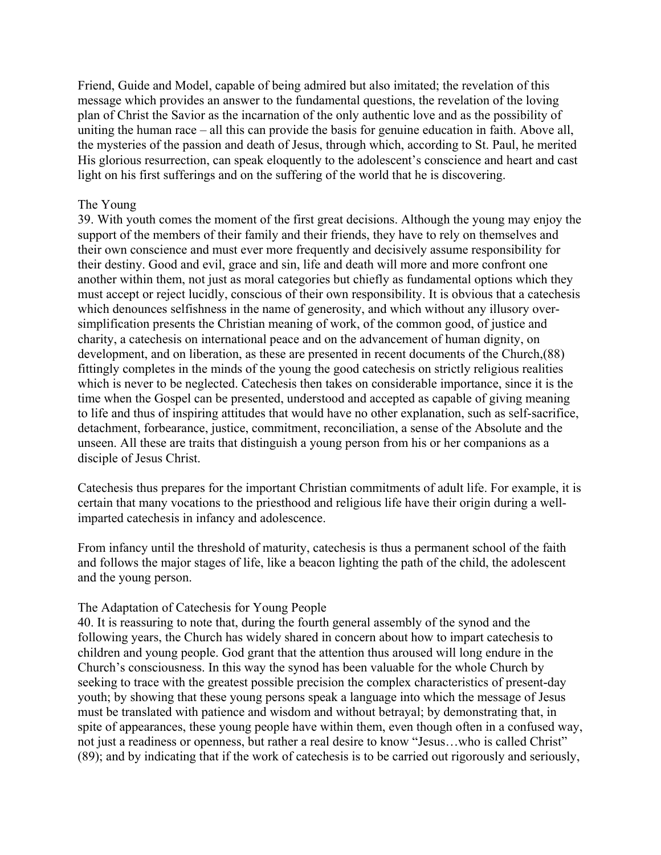Friend, Guide and Model, capable of being admired but also imitated; the revelation of this message which provides an answer to the fundamental questions, the revelation of the loving plan of Christ the Savior as the incarnation of the only authentic love and as the possibility of uniting the human race – all this can provide the basis for genuine education in faith. Above all, the mysteries of the passion and death of Jesus, through which, according to St. Paul, he merited His glorious resurrection, can speak eloquently to the adolescent's conscience and heart and cast light on his first sufferings and on the suffering of the world that he is discovering.

#### The Young

39. With youth comes the moment of the first great decisions. Although the young may enjoy the support of the members of their family and their friends, they have to rely on themselves and their own conscience and must ever more frequently and decisively assume responsibility for their destiny. Good and evil, grace and sin, life and death will more and more confront one another within them, not just as moral categories but chiefly as fundamental options which they must accept or reject lucidly, conscious of their own responsibility. It is obvious that a catechesis which denounces selfishness in the name of generosity, and which without any illusory oversimplification presents the Christian meaning of work, of the common good, of justice and charity, a catechesis on international peace and on the advancement of human dignity, on development, and on liberation, as these are presented in recent documents of the Church,(88) fittingly completes in the minds of the young the good catechesis on strictly religious realities which is never to be neglected. Catechesis then takes on considerable importance, since it is the time when the Gospel can be presented, understood and accepted as capable of giving meaning to life and thus of inspiring attitudes that would have no other explanation, such as self-sacrifice, detachment, forbearance, justice, commitment, reconciliation, a sense of the Absolute and the unseen. All these are traits that distinguish a young person from his or her companions as a disciple of Jesus Christ.

Catechesis thus prepares for the important Christian commitments of adult life. For example, it is certain that many vocations to the priesthood and religious life have their origin during a wellimparted catechesis in infancy and adolescence.

From infancy until the threshold of maturity, catechesis is thus a permanent school of the faith and follows the major stages of life, like a beacon lighting the path of the child, the adolescent and the young person.

#### The Adaptation of Catechesis for Young People

40. It is reassuring to note that, during the fourth general assembly of the synod and the following years, the Church has widely shared in concern about how to impart catechesis to children and young people. God grant that the attention thus aroused will long endure in the Church's consciousness. In this way the synod has been valuable for the whole Church by seeking to trace with the greatest possible precision the complex characteristics of present-day youth; by showing that these young persons speak a language into which the message of Jesus must be translated with patience and wisdom and without betrayal; by demonstrating that, in spite of appearances, these young people have within them, even though often in a confused way, not just a readiness or openness, but rather a real desire to know "Jesus…who is called Christ" (89); and by indicating that if the work of catechesis is to be carried out rigorously and seriously,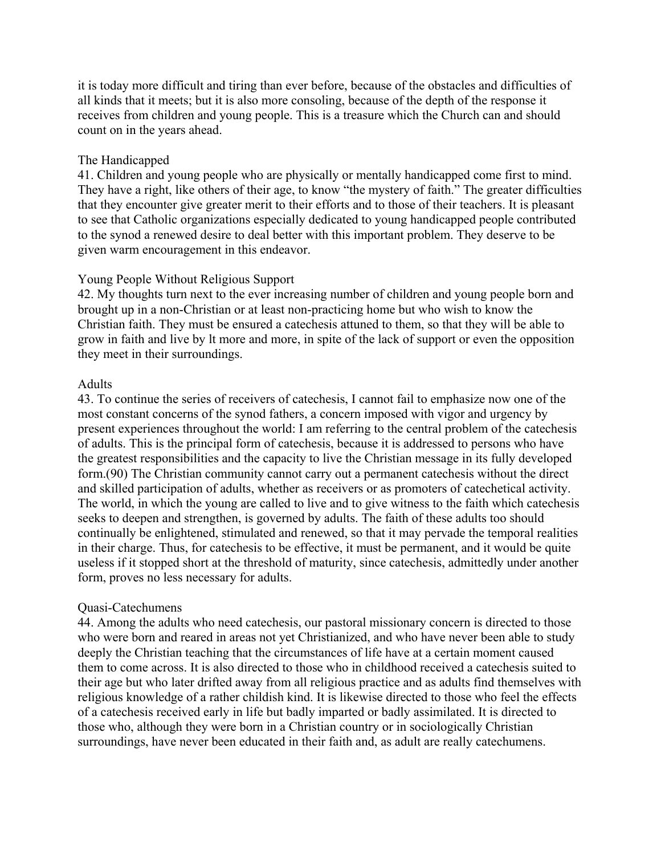it is today more difficult and tiring than ever before, because of the obstacles and difficulties of all kinds that it meets; but it is also more consoling, because of the depth of the response it receives from children and young people. This is a treasure which the Church can and should count on in the years ahead.

# The Handicapped

41. Children and young people who are physically or mentally handicapped come first to mind. They have a right, like others of their age, to know "the mystery of faith." The greater difficulties that they encounter give greater merit to their efforts and to those of their teachers. It is pleasant to see that Catholic organizations especially dedicated to young handicapped people contributed to the synod a renewed desire to deal better with this important problem. They deserve to be given warm encouragement in this endeavor.

## Young People Without Religious Support

42. My thoughts turn next to the ever increasing number of children and young people born and brought up in a non-Christian or at least non-practicing home but who wish to know the Christian faith. They must be ensured a catechesis attuned to them, so that they will be able to grow in faith and live by lt more and more, in spite of the lack of support or even the opposition they meet in their surroundings.

## Adults

43. To continue the series of receivers of catechesis, I cannot fail to emphasize now one of the most constant concerns of the synod fathers, a concern imposed with vigor and urgency by present experiences throughout the world: I am referring to the central problem of the catechesis of adults. This is the principal form of catechesis, because it is addressed to persons who have the greatest responsibilities and the capacity to live the Christian message in its fully developed form.(90) The Christian community cannot carry out a permanent catechesis without the direct and skilled participation of adults, whether as receivers or as promoters of catechetical activity. The world, in which the young are called to live and to give witness to the faith which catechesis seeks to deepen and strengthen, is governed by adults. The faith of these adults too should continually be enlightened, stimulated and renewed, so that it may pervade the temporal realities in their charge. Thus, for catechesis to be effective, it must be permanent, and it would be quite useless if it stopped short at the threshold of maturity, since catechesis, admittedly under another form, proves no less necessary for adults.

## Quasi-Catechumens

44. Among the adults who need catechesis, our pastoral missionary concern is directed to those who were born and reared in areas not yet Christianized, and who have never been able to study deeply the Christian teaching that the circumstances of life have at a certain moment caused them to come across. It is also directed to those who in childhood received a catechesis suited to their age but who later drifted away from all religious practice and as adults find themselves with religious knowledge of a rather childish kind. It is likewise directed to those who feel the effects of a catechesis received early in life but badly imparted or badly assimilated. It is directed to those who, although they were born in a Christian country or in sociologically Christian surroundings, have never been educated in their faith and, as adult are really catechumens.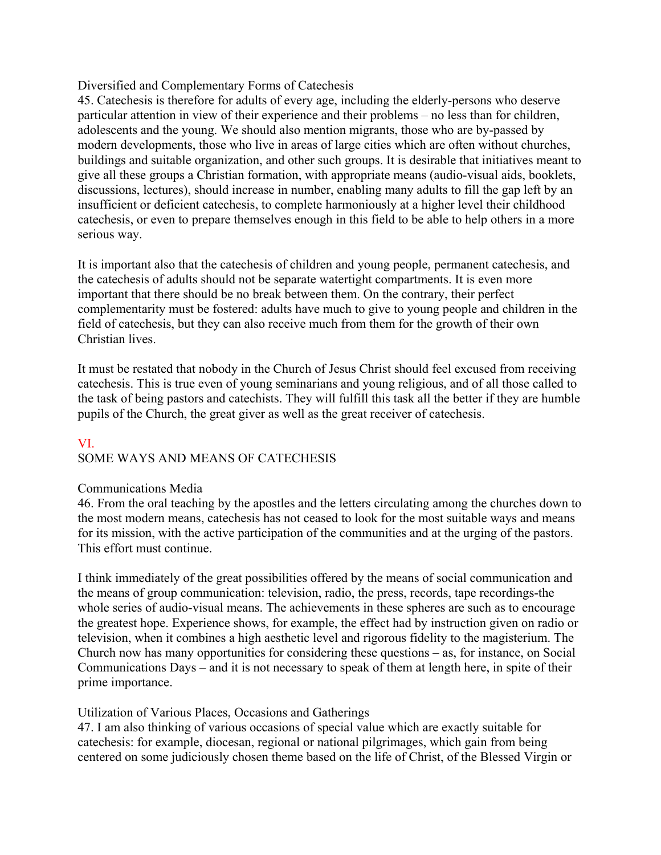## Diversified and Complementary Forms of Catechesis

45. Catechesis is therefore for adults of every age, including the elderly-persons who deserve particular attention in view of their experience and their problems – no less than for children, adolescents and the young. We should also mention migrants, those who are by-passed by modern developments, those who live in areas of large cities which are often without churches, buildings and suitable organization, and other such groups. It is desirable that initiatives meant to give all these groups a Christian formation, with appropriate means (audio-visual aids, booklets, discussions, lectures), should increase in number, enabling many adults to fill the gap left by an insufficient or deficient catechesis, to complete harmoniously at a higher level their childhood catechesis, or even to prepare themselves enough in this field to be able to help others in a more serious way.

It is important also that the catechesis of children and young people, permanent catechesis, and the catechesis of adults should not be separate watertight compartments. It is even more important that there should be no break between them. On the contrary, their perfect complementarity must be fostered: adults have much to give to young people and children in the field of catechesis, but they can also receive much from them for the growth of their own Christian lives.

It must be restated that nobody in the Church of Jesus Christ should feel excused from receiving catechesis. This is true even of young seminarians and young religious, and of all those called to the task of being pastors and catechists. They will fulfill this task all the better if they are humble pupils of the Church, the great giver as well as the great receiver of catechesis.

# VI. SOME WAYS AND MEANS OF CATECHESIS

## Communications Media

46. From the oral teaching by the apostles and the letters circulating among the churches down to the most modern means, catechesis has not ceased to look for the most suitable ways and means for its mission, with the active participation of the communities and at the urging of the pastors. This effort must continue.

I think immediately of the great possibilities offered by the means of social communication and the means of group communication: television, radio, the press, records, tape recordings-the whole series of audio-visual means. The achievements in these spheres are such as to encourage the greatest hope. Experience shows, for example, the effect had by instruction given on radio or television, when it combines a high aesthetic level and rigorous fidelity to the magisterium. The Church now has many opportunities for considering these questions – as, for instance, on Social Communications Days – and it is not necessary to speak of them at length here, in spite of their prime importance.

## Utilization of Various Places, Occasions and Gatherings

47. I am also thinking of various occasions of special value which are exactly suitable for catechesis: for example, diocesan, regional or national pilgrimages, which gain from being centered on some judiciously chosen theme based on the life of Christ, of the Blessed Virgin or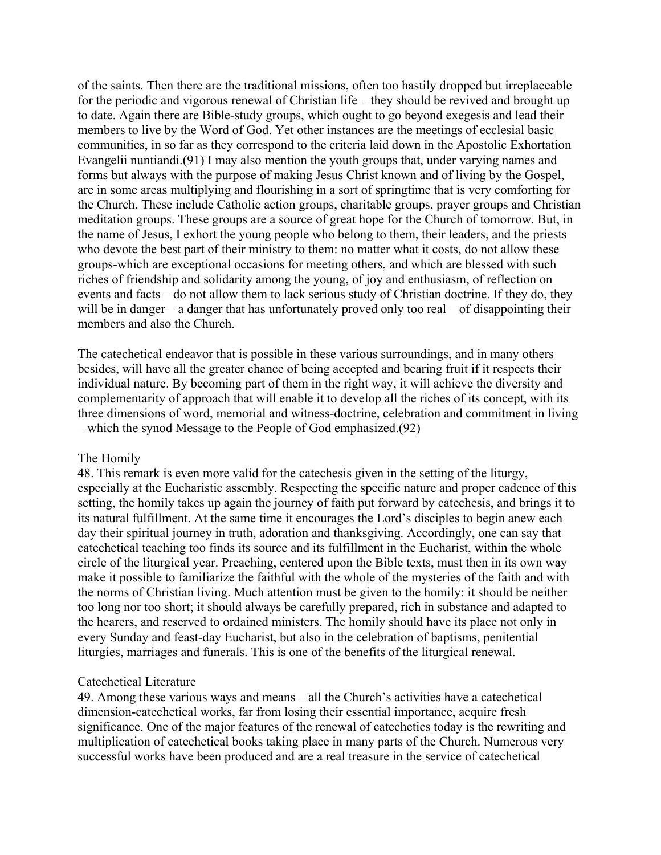of the saints. Then there are the traditional missions, often too hastily dropped but irreplaceable for the periodic and vigorous renewal of Christian life – they should be revived and brought up to date. Again there are Bible-study groups, which ought to go beyond exegesis and lead their members to live by the Word of God. Yet other instances are the meetings of ecclesial basic communities, in so far as they correspond to the criteria laid down in the Apostolic Exhortation Evangelii nuntiandi.(91) I may also mention the youth groups that, under varying names and forms but always with the purpose of making Jesus Christ known and of living by the Gospel, are in some areas multiplying and flourishing in a sort of springtime that is very comforting for the Church. These include Catholic action groups, charitable groups, prayer groups and Christian meditation groups. These groups are a source of great hope for the Church of tomorrow. But, in the name of Jesus, I exhort the young people who belong to them, their leaders, and the priests who devote the best part of their ministry to them: no matter what it costs, do not allow these groups-which are exceptional occasions for meeting others, and which are blessed with such riches of friendship and solidarity among the young, of joy and enthusiasm, of reflection on events and facts – do not allow them to lack serious study of Christian doctrine. If they do, they will be in danger – a danger that has unfortunately proved only too real – of disappointing their members and also the Church.

The catechetical endeavor that is possible in these various surroundings, and in many others besides, will have all the greater chance of being accepted and bearing fruit if it respects their individual nature. By becoming part of them in the right way, it will achieve the diversity and complementarity of approach that will enable it to develop all the riches of its concept, with its three dimensions of word, memorial and witness-doctrine, celebration and commitment in living – which the synod Message to the People of God emphasized.(92)

#### The Homily

48. This remark is even more valid for the catechesis given in the setting of the liturgy, especially at the Eucharistic assembly. Respecting the specific nature and proper cadence of this setting, the homily takes up again the journey of faith put forward by catechesis, and brings it to its natural fulfillment. At the same time it encourages the Lord's disciples to begin anew each day their spiritual journey in truth, adoration and thanksgiving. Accordingly, one can say that catechetical teaching too finds its source and its fulfillment in the Eucharist, within the whole circle of the liturgical year. Preaching, centered upon the Bible texts, must then in its own way make it possible to familiarize the faithful with the whole of the mysteries of the faith and with the norms of Christian living. Much attention must be given to the homily: it should be neither too long nor too short; it should always be carefully prepared, rich in substance and adapted to the hearers, and reserved to ordained ministers. The homily should have its place not only in every Sunday and feast-day Eucharist, but also in the celebration of baptisms, penitential liturgies, marriages and funerals. This is one of the benefits of the liturgical renewal.

#### Catechetical Literature

49. Among these various ways and means – all the Church's activities have a catechetical dimension-catechetical works, far from losing their essential importance, acquire fresh significance. One of the major features of the renewal of catechetics today is the rewriting and multiplication of catechetical books taking place in many parts of the Church. Numerous very successful works have been produced and are a real treasure in the service of catechetical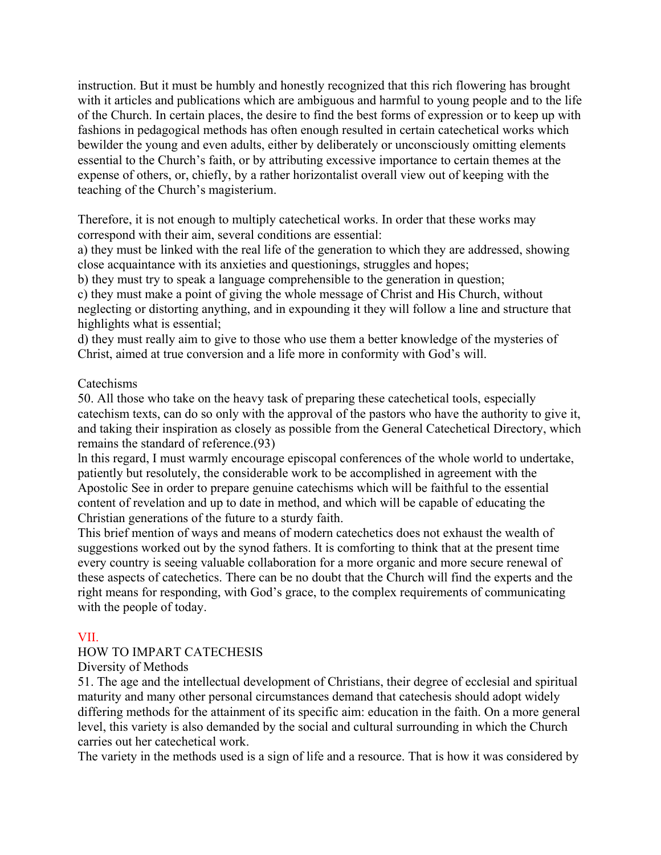instruction. But it must be humbly and honestly recognized that this rich flowering has brought with it articles and publications which are ambiguous and harmful to young people and to the life of the Church. In certain places, the desire to find the best forms of expression or to keep up with fashions in pedagogical methods has often enough resulted in certain catechetical works which bewilder the young and even adults, either by deliberately or unconsciously omitting elements essential to the Church's faith, or by attributing excessive importance to certain themes at the expense of others, or, chiefly, by a rather horizontalist overall view out of keeping with the teaching of the Church's magisterium.

Therefore, it is not enough to multiply catechetical works. In order that these works may correspond with their aim, several conditions are essential:

a) they must be linked with the real life of the generation to which they are addressed, showing close acquaintance with its anxieties and questionings, struggles and hopes;

b) they must try to speak a language comprehensible to the generation in question;

c) they must make a point of giving the whole message of Christ and His Church, without neglecting or distorting anything, and in expounding it they will follow a line and structure that highlights what is essential;

d) they must really aim to give to those who use them a better knowledge of the mysteries of Christ, aimed at true conversion and a life more in conformity with God's will.

## Catechisms

50. All those who take on the heavy task of preparing these catechetical tools, especially catechism texts, can do so only with the approval of the pastors who have the authority to give it, and taking their inspiration as closely as possible from the General Catechetical Directory, which remains the standard of reference.(93)

ln this regard, I must warmly encourage episcopal conferences of the whole world to undertake, patiently but resolutely, the considerable work to be accomplished in agreement with the Apostolic See in order to prepare genuine catechisms which will be faithful to the essential content of revelation and up to date in method, and which will be capable of educating the Christian generations of the future to a sturdy faith.

This brief mention of ways and means of modern catechetics does not exhaust the wealth of suggestions worked out by the synod fathers. It is comforting to think that at the present time every country is seeing valuable collaboration for a more organic and more secure renewal of these aspects of catechetics. There can be no doubt that the Church will find the experts and the right means for responding, with God's grace, to the complex requirements of communicating with the people of today.

# VII.

# HOW TO IMPART CATECHESIS

Diversity of Methods

51. The age and the intellectual development of Christians, their degree of ecclesial and spiritual maturity and many other personal circumstances demand that catechesis should adopt widely differing methods for the attainment of its specific aim: education in the faith. On a more general level, this variety is also demanded by the social and cultural surrounding in which the Church carries out her catechetical work.

The variety in the methods used is a sign of life and a resource. That is how it was considered by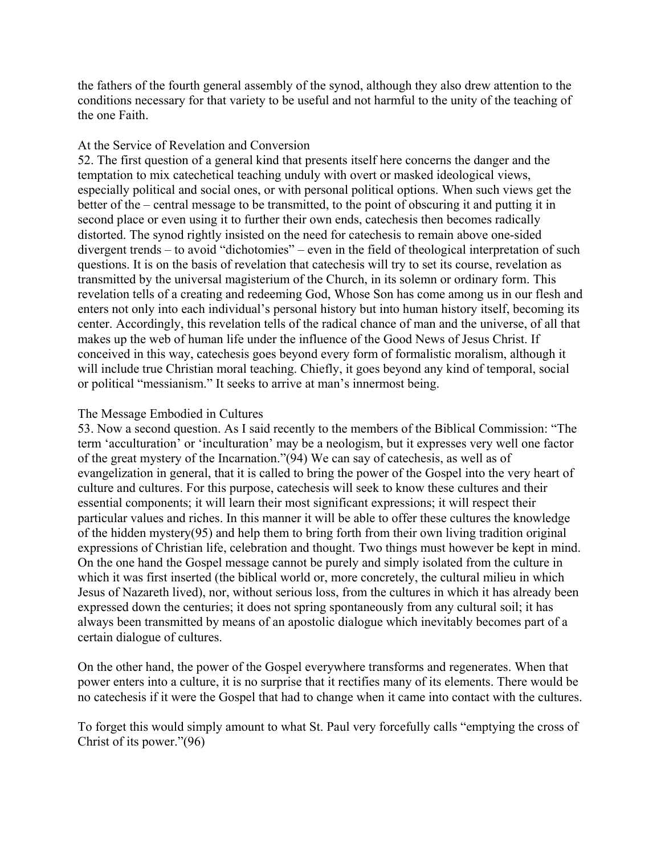the fathers of the fourth general assembly of the synod, although they also drew attention to the conditions necessary for that variety to be useful and not harmful to the unity of the teaching of the one Faith.

#### At the Service of Revelation and Conversion

52. The first question of a general kind that presents itself here concerns the danger and the temptation to mix catechetical teaching unduly with overt or masked ideological views, especially political and social ones, or with personal political options. When such views get the better of the – central message to be transmitted, to the point of obscuring it and putting it in second place or even using it to further their own ends, catechesis then becomes radically distorted. The synod rightly insisted on the need for catechesis to remain above one-sided divergent trends – to avoid "dichotomies" – even in the field of theological interpretation of such questions. It is on the basis of revelation that catechesis will try to set its course, revelation as transmitted by the universal magisterium of the Church, in its solemn or ordinary form. This revelation tells of a creating and redeeming God, Whose Son has come among us in our flesh and enters not only into each individual's personal history but into human history itself, becoming its center. Accordingly, this revelation tells of the radical chance of man and the universe, of all that makes up the web of human life under the influence of the Good News of Jesus Christ. If conceived in this way, catechesis goes beyond every form of formalistic moralism, although it will include true Christian moral teaching. Chiefly, it goes beyond any kind of temporal, social or political "messianism." It seeks to arrive at man's innermost being.

#### The Message Embodied in Cultures

53. Now a second question. As I said recently to the members of the Biblical Commission: "The term 'acculturation' or 'inculturation' may be a neologism, but it expresses very well one factor of the great mystery of the Incarnation."(94) We can say of catechesis, as well as of evangelization in general, that it is called to bring the power of the Gospel into the very heart of culture and cultures. For this purpose, catechesis will seek to know these cultures and their essential components; it will learn their most significant expressions; it will respect their particular values and riches. In this manner it will be able to offer these cultures the knowledge of the hidden mystery(95) and help them to bring forth from their own living tradition original expressions of Christian life, celebration and thought. Two things must however be kept in mind. On the one hand the Gospel message cannot be purely and simply isolated from the culture in which it was first inserted (the biblical world or, more concretely, the cultural milieu in which Jesus of Nazareth lived), nor, without serious loss, from the cultures in which it has already been expressed down the centuries; it does not spring spontaneously from any cultural soil; it has always been transmitted by means of an apostolic dialogue which inevitably becomes part of a certain dialogue of cultures.

On the other hand, the power of the Gospel everywhere transforms and regenerates. When that power enters into a culture, it is no surprise that it rectifies many of its elements. There would be no catechesis if it were the Gospel that had to change when it came into contact with the cultures.

To forget this would simply amount to what St. Paul very forcefully calls "emptying the cross of Christ of its power."(96)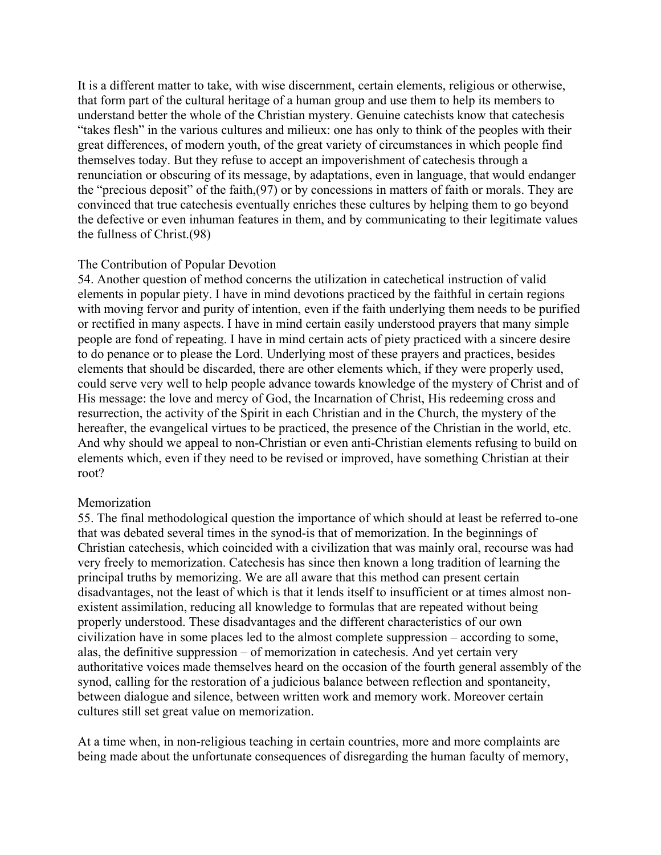It is a different matter to take, with wise discernment, certain elements, religious or otherwise, that form part of the cultural heritage of a human group and use them to help its members to understand better the whole of the Christian mystery. Genuine catechists know that catechesis "takes flesh" in the various cultures and milieux: one has only to think of the peoples with their great differences, of modern youth, of the great variety of circumstances in which people find themselves today. But they refuse to accept an impoverishment of catechesis through a renunciation or obscuring of its message, by adaptations, even in language, that would endanger the "precious deposit" of the faith,(97) or by concessions in matters of faith or morals. They are convinced that true catechesis eventually enriches these cultures by helping them to go beyond the defective or even inhuman features in them, and by communicating to their legitimate values the fullness of Christ.(98)

#### The Contribution of Popular Devotion

54. Another question of method concerns the utilization in catechetical instruction of valid elements in popular piety. I have in mind devotions practiced by the faithful in certain regions with moving fervor and purity of intention, even if the faith underlying them needs to be purified or rectified in many aspects. I have in mind certain easily understood prayers that many simple people are fond of repeating. I have in mind certain acts of piety practiced with a sincere desire to do penance or to please the Lord. Underlying most of these prayers and practices, besides elements that should be discarded, there are other elements which, if they were properly used, could serve very well to help people advance towards knowledge of the mystery of Christ and of His message: the love and mercy of God, the Incarnation of Christ, His redeeming cross and resurrection, the activity of the Spirit in each Christian and in the Church, the mystery of the hereafter, the evangelical virtues to be practiced, the presence of the Christian in the world, etc. And why should we appeal to non-Christian or even anti-Christian elements refusing to build on elements which, even if they need to be revised or improved, have something Christian at their root?

## Memorization

55. The final methodological question the importance of which should at least be referred to-one that was debated several times in the synod-is that of memorization. In the beginnings of Christian catechesis, which coincided with a civilization that was mainly oral, recourse was had very freely to memorization. Catechesis has since then known a long tradition of learning the principal truths by memorizing. We are all aware that this method can present certain disadvantages, not the least of which is that it lends itself to insufficient or at times almost nonexistent assimilation, reducing all knowledge to formulas that are repeated without being properly understood. These disadvantages and the different characteristics of our own civilization have in some places led to the almost complete suppression – according to some, alas, the definitive suppression – of memorization in catechesis. And yet certain very authoritative voices made themselves heard on the occasion of the fourth general assembly of the synod, calling for the restoration of a judicious balance between reflection and spontaneity, between dialogue and silence, between written work and memory work. Moreover certain cultures still set great value on memorization.

At a time when, in non-religious teaching in certain countries, more and more complaints are being made about the unfortunate consequences of disregarding the human faculty of memory,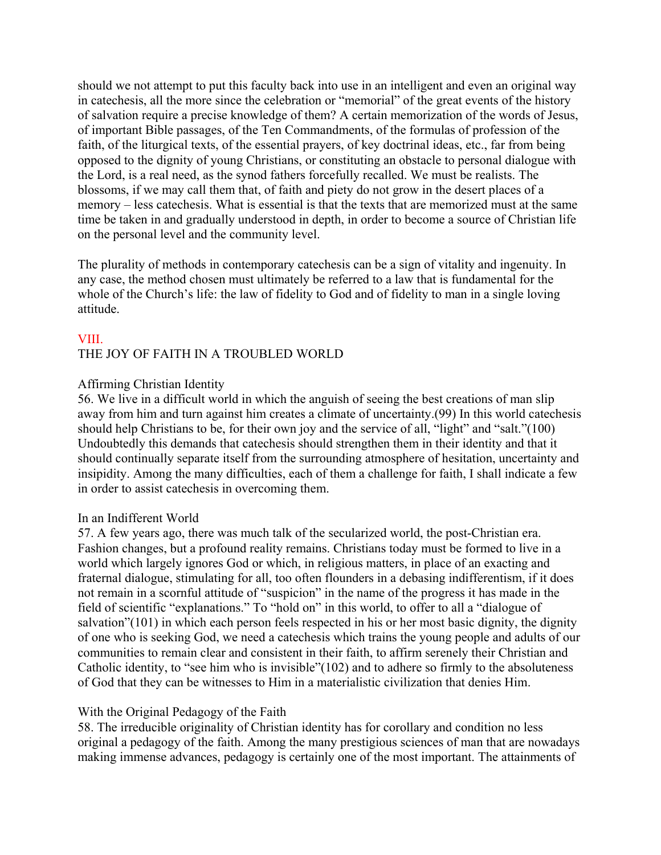should we not attempt to put this faculty back into use in an intelligent and even an original way in catechesis, all the more since the celebration or "memorial" of the great events of the history of salvation require a precise knowledge of them? A certain memorization of the words of Jesus, of important Bible passages, of the Ten Commandments, of the formulas of profession of the faith, of the liturgical texts, of the essential prayers, of key doctrinal ideas, etc., far from being opposed to the dignity of young Christians, or constituting an obstacle to personal dialogue with the Lord, is a real need, as the synod fathers forcefully recalled. We must be realists. The blossoms, if we may call them that, of faith and piety do not grow in the desert places of a memory – less catechesis. What is essential is that the texts that are memorized must at the same time be taken in and gradually understood in depth, in order to become a source of Christian life on the personal level and the community level.

The plurality of methods in contemporary catechesis can be a sign of vitality and ingenuity. In any case, the method chosen must ultimately be referred to a law that is fundamental for the whole of the Church's life: the law of fidelity to God and of fidelity to man in a single loving attitude.

## VIII.

# THE JOY OF FAITH IN A TROUBLED WORLD

## Affirming Christian Identity

56. We live in a difficult world in which the anguish of seeing the best creations of man slip away from him and turn against him creates a climate of uncertainty.(99) In this world catechesis should help Christians to be, for their own joy and the service of all, "light" and "salt."(100) Undoubtedly this demands that catechesis should strengthen them in their identity and that it should continually separate itself from the surrounding atmosphere of hesitation, uncertainty and insipidity. Among the many difficulties, each of them a challenge for faith, I shall indicate a few in order to assist catechesis in overcoming them.

## In an Indifferent World

57. A few years ago, there was much talk of the secularized world, the post-Christian era. Fashion changes, but a profound reality remains. Christians today must be formed to live in a world which largely ignores God or which, in religious matters, in place of an exacting and fraternal dialogue, stimulating for all, too often flounders in a debasing indifferentism, if it does not remain in a scornful attitude of "suspicion" in the name of the progress it has made in the field of scientific "explanations." To "hold on" in this world, to offer to all a "dialogue of salvation"(101) in which each person feels respected in his or her most basic dignity, the dignity of one who is seeking God, we need a catechesis which trains the young people and adults of our communities to remain clear and consistent in their faith, to affirm serenely their Christian and Catholic identity, to "see him who is invisible"(102) and to adhere so firmly to the absoluteness of God that they can be witnesses to Him in a materialistic civilization that denies Him.

## With the Original Pedagogy of the Faith

58. The irreducible originality of Christian identity has for corollary and condition no less original a pedagogy of the faith. Among the many prestigious sciences of man that are nowadays making immense advances, pedagogy is certainly one of the most important. The attainments of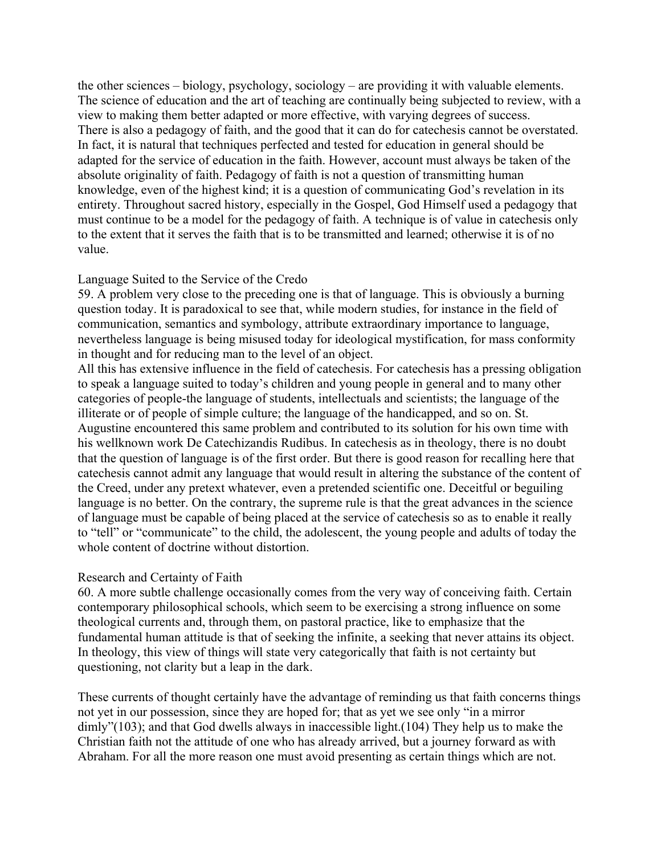the other sciences – biology, psychology, sociology – are providing it with valuable elements. The science of education and the art of teaching are continually being subjected to review, with a view to making them better adapted or more effective, with varying degrees of success. There is also a pedagogy of faith, and the good that it can do for catechesis cannot be overstated. In fact, it is natural that techniques perfected and tested for education in general should be adapted for the service of education in the faith. However, account must always be taken of the absolute originality of faith. Pedagogy of faith is not a question of transmitting human knowledge, even of the highest kind; it is a question of communicating God's revelation in its entirety. Throughout sacred history, especially in the Gospel, God Himself used a pedagogy that must continue to be a model for the pedagogy of faith. A technique is of value in catechesis only to the extent that it serves the faith that is to be transmitted and learned; otherwise it is of no value.

## Language Suited to the Service of the Credo

59. A problem very close to the preceding one is that of language. This is obviously a burning question today. It is paradoxical to see that, while modern studies, for instance in the field of communication, semantics and symbology, attribute extraordinary importance to language, nevertheless language is being misused today for ideological mystification, for mass conformity in thought and for reducing man to the level of an object.

All this has extensive influence in the field of catechesis. For catechesis has a pressing obligation to speak a language suited to today's children and young people in general and to many other categories of people-the language of students, intellectuals and scientists; the language of the illiterate or of people of simple culture; the language of the handicapped, and so on. St. Augustine encountered this same problem and contributed to its solution for his own time with his wellknown work De Catechizandis Rudibus. In catechesis as in theology, there is no doubt that the question of language is of the first order. But there is good reason for recalling here that catechesis cannot admit any language that would result in altering the substance of the content of the Creed, under any pretext whatever, even a pretended scientific one. Deceitful or beguiling language is no better. On the contrary, the supreme rule is that the great advances in the science of language must be capable of being placed at the service of catechesis so as to enable it really to "tell" or "communicate" to the child, the adolescent, the young people and adults of today the whole content of doctrine without distortion.

#### Research and Certainty of Faith

60. A more subtle challenge occasionally comes from the very way of conceiving faith. Certain contemporary philosophical schools, which seem to be exercising a strong influence on some theological currents and, through them, on pastoral practice, like to emphasize that the fundamental human attitude is that of seeking the infinite, a seeking that never attains its object. In theology, this view of things will state very categorically that faith is not certainty but questioning, not clarity but a leap in the dark.

These currents of thought certainly have the advantage of reminding us that faith concerns things not yet in our possession, since they are hoped for; that as yet we see only "in a mirror dimly"(103); and that God dwells always in inaccessible light.(104) They help us to make the Christian faith not the attitude of one who has already arrived, but a journey forward as with Abraham. For all the more reason one must avoid presenting as certain things which are not.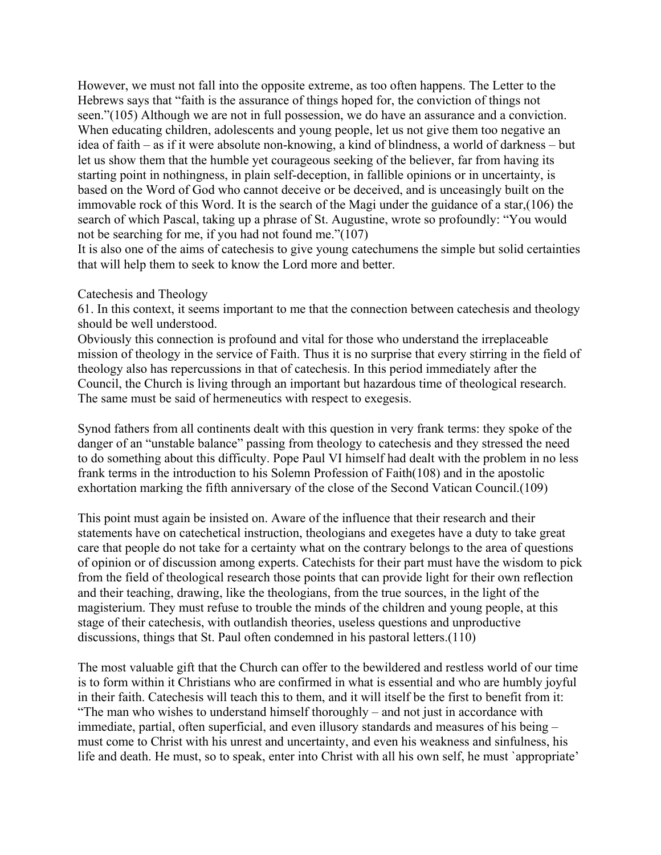However, we must not fall into the opposite extreme, as too often happens. The Letter to the Hebrews says that "faith is the assurance of things hoped for, the conviction of things not seen."(105) Although we are not in full possession, we do have an assurance and a conviction. When educating children, adolescents and young people, let us not give them too negative an idea of faith – as if it were absolute non-knowing, a kind of blindness, a world of darkness – but let us show them that the humble yet courageous seeking of the believer, far from having its starting point in nothingness, in plain self-deception, in fallible opinions or in uncertainty, is based on the Word of God who cannot deceive or be deceived, and is unceasingly built on the immovable rock of this Word. It is the search of the Magi under the guidance of a star,(106) the search of which Pascal, taking up a phrase of St. Augustine, wrote so profoundly: "You would not be searching for me, if you had not found me."(107)

It is also one of the aims of catechesis to give young catechumens the simple but solid certainties that will help them to seek to know the Lord more and better.

#### Catechesis and Theology

61. In this context, it seems important to me that the connection between catechesis and theology should be well understood.

Obviously this connection is profound and vital for those who understand the irreplaceable mission of theology in the service of Faith. Thus it is no surprise that every stirring in the field of theology also has repercussions in that of catechesis. In this period immediately after the Council, the Church is living through an important but hazardous time of theological research. The same must be said of hermeneutics with respect to exegesis.

Synod fathers from all continents dealt with this question in very frank terms: they spoke of the danger of an "unstable balance" passing from theology to catechesis and they stressed the need to do something about this difficulty. Pope Paul VI himself had dealt with the problem in no less frank terms in the introduction to his Solemn Profession of Faith(108) and in the apostolic exhortation marking the fifth anniversary of the close of the Second Vatican Council.(109)

This point must again be insisted on. Aware of the influence that their research and their statements have on catechetical instruction, theologians and exegetes have a duty to take great care that people do not take for a certainty what on the contrary belongs to the area of questions of opinion or of discussion among experts. Catechists for their part must have the wisdom to pick from the field of theological research those points that can provide light for their own reflection and their teaching, drawing, like the theologians, from the true sources, in the light of the magisterium. They must refuse to trouble the minds of the children and young people, at this stage of their catechesis, with outlandish theories, useless questions and unproductive discussions, things that St. Paul often condemned in his pastoral letters.(110)

The most valuable gift that the Church can offer to the bewildered and restless world of our time is to form within it Christians who are confirmed in what is essential and who are humbly joyful in their faith. Catechesis will teach this to them, and it will itself be the first to benefit from it: "The man who wishes to understand himself thoroughly – and not just in accordance with immediate, partial, often superficial, and even illusory standards and measures of his being – must come to Christ with his unrest and uncertainty, and even his weakness and sinfulness, his life and death. He must, so to speak, enter into Christ with all his own self, he must `appropriate'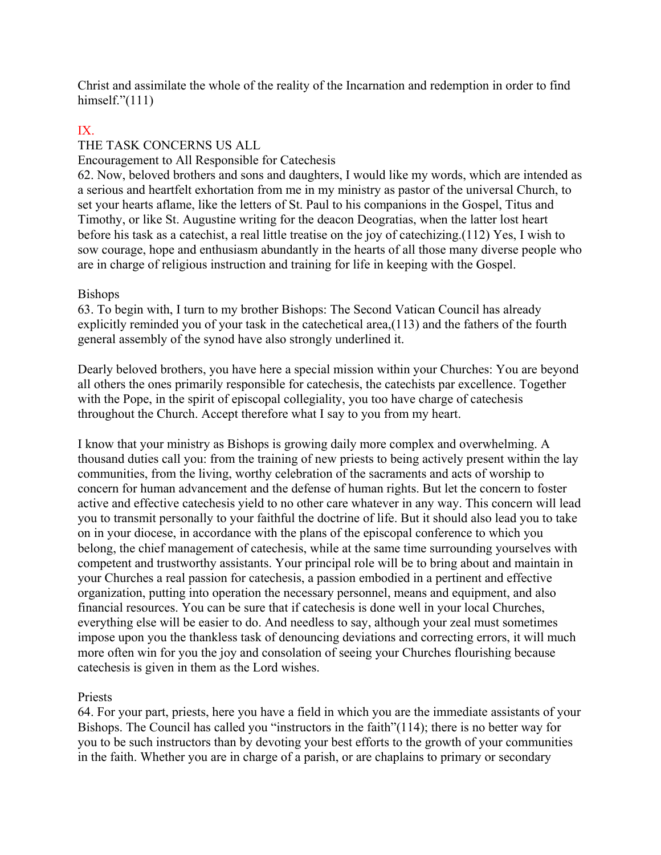Christ and assimilate the whole of the reality of the Incarnation and redemption in order to find himself." $(111)$ 

# IX.

# THE TASK CONCERNS US ALL

Encouragement to All Responsible for Catechesis

62. Now, beloved brothers and sons and daughters, I would like my words, which are intended as a serious and heartfelt exhortation from me in my ministry as pastor of the universal Church, to set your hearts aflame, like the letters of St. Paul to his companions in the Gospel, Titus and Timothy, or like St. Augustine writing for the deacon Deogratias, when the latter lost heart before his task as a catechist, a real little treatise on the joy of catechizing.(112) Yes, I wish to sow courage, hope and enthusiasm abundantly in the hearts of all those many diverse people who are in charge of religious instruction and training for life in keeping with the Gospel.

## Bishops

63. To begin with, I turn to my brother Bishops: The Second Vatican Council has already explicitly reminded you of your task in the catechetical area,(113) and the fathers of the fourth general assembly of the synod have also strongly underlined it.

Dearly beloved brothers, you have here a special mission within your Churches: You are beyond all others the ones primarily responsible for catechesis, the catechists par excellence. Together with the Pope, in the spirit of episcopal collegiality, you too have charge of catechesis throughout the Church. Accept therefore what I say to you from my heart.

I know that your ministry as Bishops is growing daily more complex and overwhelming. A thousand duties call you: from the training of new priests to being actively present within the lay communities, from the living, worthy celebration of the sacraments and acts of worship to concern for human advancement and the defense of human rights. But let the concern to foster active and effective catechesis yield to no other care whatever in any way. This concern will lead you to transmit personally to your faithful the doctrine of life. But it should also lead you to take on in your diocese, in accordance with the plans of the episcopal conference to which you belong, the chief management of catechesis, while at the same time surrounding yourselves with competent and trustworthy assistants. Your principal role will be to bring about and maintain in your Churches a real passion for catechesis, a passion embodied in a pertinent and effective organization, putting into operation the necessary personnel, means and equipment, and also financial resources. You can be sure that if catechesis is done well in your local Churches, everything else will be easier to do. And needless to say, although your zeal must sometimes impose upon you the thankless task of denouncing deviations and correcting errors, it will much more often win for you the joy and consolation of seeing your Churches flourishing because catechesis is given in them as the Lord wishes.

# Priests

64. For your part, priests, here you have a field in which you are the immediate assistants of your Bishops. The Council has called you "instructors in the faith"(114); there is no better way for you to be such instructors than by devoting your best efforts to the growth of your communities in the faith. Whether you are in charge of a parish, or are chaplains to primary or secondary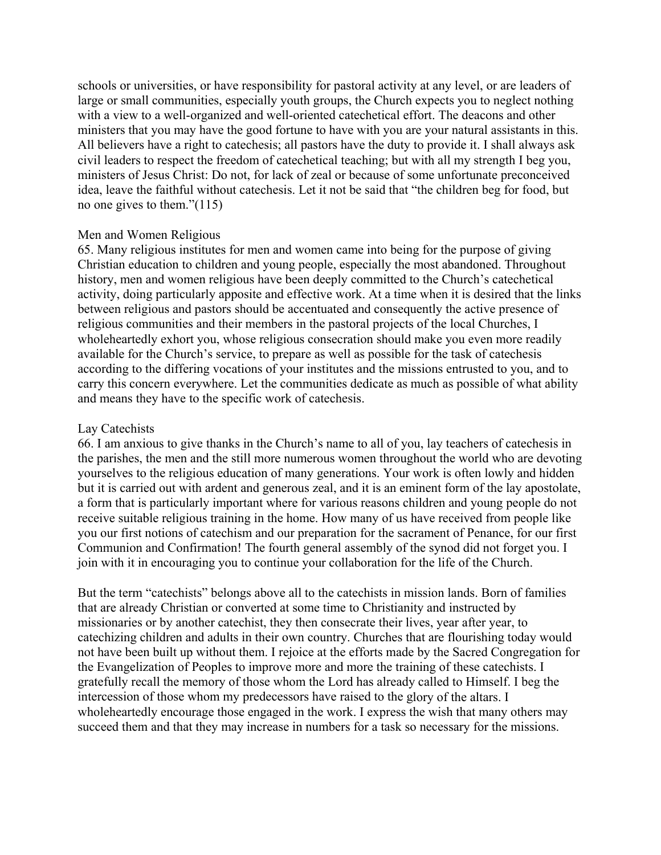schools or universities, or have responsibility for pastoral activity at any level, or are leaders of large or small communities, especially youth groups, the Church expects you to neglect nothing with a view to a well-organized and well-oriented catechetical effort. The deacons and other ministers that you may have the good fortune to have with you are your natural assistants in this. All believers have a right to catechesis; all pastors have the duty to provide it. I shall always ask civil leaders to respect the freedom of catechetical teaching; but with all my strength I beg you, ministers of Jesus Christ: Do not, for lack of zeal or because of some unfortunate preconceived idea, leave the faithful without catechesis. Let it not be said that "the children beg for food, but no one gives to them."(115)

#### Men and Women Religious

65. Many religious institutes for men and women came into being for the purpose of giving Christian education to children and young people, especially the most abandoned. Throughout history, men and women religious have been deeply committed to the Church's catechetical activity, doing particularly apposite and effective work. At a time when it is desired that the links between religious and pastors should be accentuated and consequently the active presence of religious communities and their members in the pastoral projects of the local Churches, I wholeheartedly exhort you, whose religious consecration should make you even more readily available for the Church's service, to prepare as well as possible for the task of catechesis according to the differing vocations of your institutes and the missions entrusted to you, and to carry this concern everywhere. Let the communities dedicate as much as possible of what ability and means they have to the specific work of catechesis.

#### Lay Catechists

66. I am anxious to give thanks in the Church's name to all of you, lay teachers of catechesis in the parishes, the men and the still more numerous women throughout the world who are devoting yourselves to the religious education of many generations. Your work is often lowly and hidden but it is carried out with ardent and generous zeal, and it is an eminent form of the lay apostolate, a form that is particularly important where for various reasons children and young people do not receive suitable religious training in the home. How many of us have received from people like you our first notions of catechism and our preparation for the sacrament of Penance, for our first Communion and Confirmation! The fourth general assembly of the synod did not forget you. I join with it in encouraging you to continue your collaboration for the life of the Church.

But the term "catechists" belongs above all to the catechists in mission lands. Born of families that are already Christian or converted at some time to Christianity and instructed by missionaries or by another catechist, they then consecrate their lives, year after year, to catechizing children and adults in their own country. Churches that are flourishing today would not have been built up without them. I rejoice at the efforts made by the Sacred Congregation for the Evangelization of Peoples to improve more and more the training of these catechists. I gratefully recall the memory of those whom the Lord has already called to Himself. I beg the intercession of those whom my predecessors have raised to the glory of the altars. I wholeheartedly encourage those engaged in the work. I express the wish that many others may succeed them and that they may increase in numbers for a task so necessary for the missions.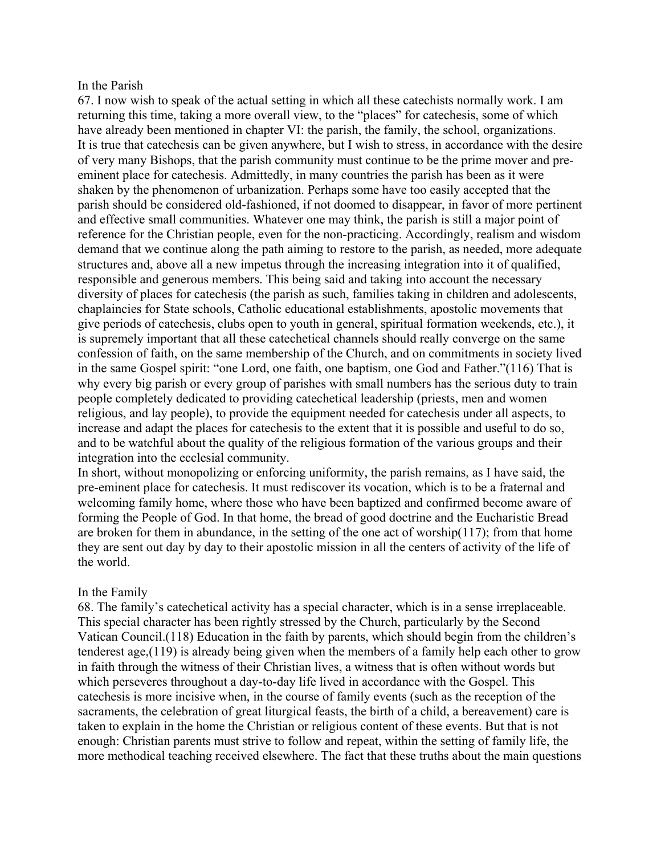#### In the Parish

67. I now wish to speak of the actual setting in which all these catechists normally work. I am returning this time, taking a more overall view, to the "places" for catechesis, some of which have already been mentioned in chapter VI: the parish, the family, the school, organizations. It is true that catechesis can be given anywhere, but I wish to stress, in accordance with the desire of very many Bishops, that the parish community must continue to be the prime mover and preeminent place for catechesis. Admittedly, in many countries the parish has been as it were shaken by the phenomenon of urbanization. Perhaps some have too easily accepted that the parish should be considered old-fashioned, if not doomed to disappear, in favor of more pertinent and effective small communities. Whatever one may think, the parish is still a major point of reference for the Christian people, even for the non-practicing. Accordingly, realism and wisdom demand that we continue along the path aiming to restore to the parish, as needed, more adequate structures and, above all a new impetus through the increasing integration into it of qualified, responsible and generous members. This being said and taking into account the necessary diversity of places for catechesis (the parish as such, families taking in children and adolescents, chaplaincies for State schools, Catholic educational establishments, apostolic movements that give periods of catechesis, clubs open to youth in general, spiritual formation weekends, etc.), it is supremely important that all these catechetical channels should really converge on the same confession of faith, on the same membership of the Church, and on commitments in society lived in the same Gospel spirit: "one Lord, one faith, one baptism, one God and Father."(116) That is why every big parish or every group of parishes with small numbers has the serious duty to train people completely dedicated to providing catechetical leadership (priests, men and women religious, and lay people), to provide the equipment needed for catechesis under all aspects, to increase and adapt the places for catechesis to the extent that it is possible and useful to do so, and to be watchful about the quality of the religious formation of the various groups and their integration into the ecclesial community.

In short, without monopolizing or enforcing uniformity, the parish remains, as I have said, the pre-eminent place for catechesis. It must rediscover its vocation, which is to be a fraternal and welcoming family home, where those who have been baptized and confirmed become aware of forming the People of God. In that home, the bread of good doctrine and the Eucharistic Bread are broken for them in abundance, in the setting of the one act of worship(117); from that home they are sent out day by day to their apostolic mission in all the centers of activity of the life of the world.

#### In the Family

68. The family's catechetical activity has a special character, which is in a sense irreplaceable. This special character has been rightly stressed by the Church, particularly by the Second Vatican Council.(118) Education in the faith by parents, which should begin from the children's tenderest age,(119) is already being given when the members of a family help each other to grow in faith through the witness of their Christian lives, a witness that is often without words but which perseveres throughout a day-to-day life lived in accordance with the Gospel. This catechesis is more incisive when, in the course of family events (such as the reception of the sacraments, the celebration of great liturgical feasts, the birth of a child, a bereavement) care is taken to explain in the home the Christian or religious content of these events. But that is not enough: Christian parents must strive to follow and repeat, within the setting of family life, the more methodical teaching received elsewhere. The fact that these truths about the main questions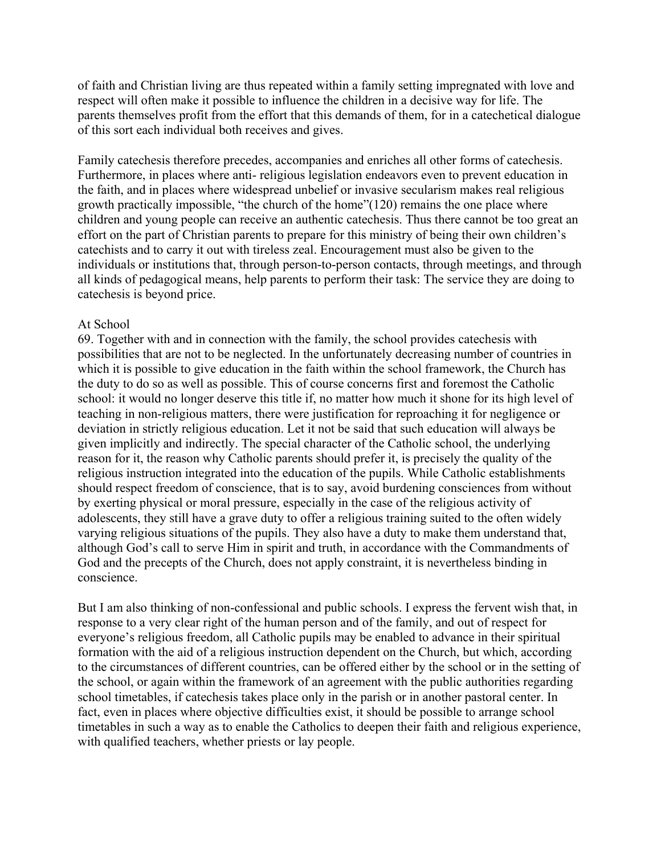of faith and Christian living are thus repeated within a family setting impregnated with love and respect will often make it possible to influence the children in a decisive way for life. The parents themselves profit from the effort that this demands of them, for in a catechetical dialogue of this sort each individual both receives and gives.

Family catechesis therefore precedes, accompanies and enriches all other forms of catechesis. Furthermore, in places where anti- religious legislation endeavors even to prevent education in the faith, and in places where widespread unbelief or invasive secularism makes real religious growth practically impossible, "the church of the home"(120) remains the one place where children and young people can receive an authentic catechesis. Thus there cannot be too great an effort on the part of Christian parents to prepare for this ministry of being their own children's catechists and to carry it out with tireless zeal. Encouragement must also be given to the individuals or institutions that, through person-to-person contacts, through meetings, and through all kinds of pedagogical means, help parents to perform their task: The service they are doing to catechesis is beyond price.

#### At School

69. Together with and in connection with the family, the school provides catechesis with possibilities that are not to be neglected. In the unfortunately decreasing number of countries in which it is possible to give education in the faith within the school framework, the Church has the duty to do so as well as possible. This of course concerns first and foremost the Catholic school: it would no longer deserve this title if, no matter how much it shone for its high level of teaching in non-religious matters, there were justification for reproaching it for negligence or deviation in strictly religious education. Let it not be said that such education will always be given implicitly and indirectly. The special character of the Catholic school, the underlying reason for it, the reason why Catholic parents should prefer it, is precisely the quality of the religious instruction integrated into the education of the pupils. While Catholic establishments should respect freedom of conscience, that is to say, avoid burdening consciences from without by exerting physical or moral pressure, especially in the case of the religious activity of adolescents, they still have a grave duty to offer a religious training suited to the often widely varying religious situations of the pupils. They also have a duty to make them understand that, although God's call to serve Him in spirit and truth, in accordance with the Commandments of God and the precepts of the Church, does not apply constraint, it is nevertheless binding in conscience.

But I am also thinking of non-confessional and public schools. I express the fervent wish that, in response to a very clear right of the human person and of the family, and out of respect for everyone's religious freedom, all Catholic pupils may be enabled to advance in their spiritual formation with the aid of a religious instruction dependent on the Church, but which, according to the circumstances of different countries, can be offered either by the school or in the setting of the school, or again within the framework of an agreement with the public authorities regarding school timetables, if catechesis takes place only in the parish or in another pastoral center. In fact, even in places where objective difficulties exist, it should be possible to arrange school timetables in such a way as to enable the Catholics to deepen their faith and religious experience, with qualified teachers, whether priests or lay people.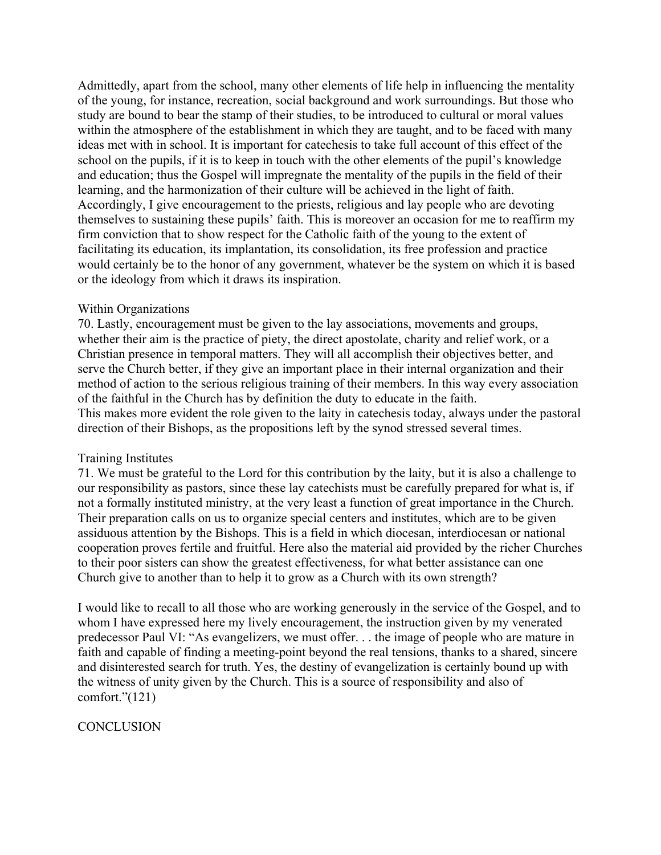Admittedly, apart from the school, many other elements of life help in influencing the mentality of the young, for instance, recreation, social background and work surroundings. But those who study are bound to bear the stamp of their studies, to be introduced to cultural or moral values within the atmosphere of the establishment in which they are taught, and to be faced with many ideas met with in school. It is important for catechesis to take full account of this effect of the school on the pupils, if it is to keep in touch with the other elements of the pupil's knowledge and education; thus the Gospel will impregnate the mentality of the pupils in the field of their learning, and the harmonization of their culture will be achieved in the light of faith. Accordingly, I give encouragement to the priests, religious and lay people who are devoting themselves to sustaining these pupils' faith. This is moreover an occasion for me to reaffirm my firm conviction that to show respect for the Catholic faith of the young to the extent of facilitating its education, its implantation, its consolidation, its free profession and practice would certainly be to the honor of any government, whatever be the system on which it is based or the ideology from which it draws its inspiration.

#### Within Organizations

70. Lastly, encouragement must be given to the lay associations, movements and groups, whether their aim is the practice of piety, the direct apostolate, charity and relief work, or a Christian presence in temporal matters. They will all accomplish their objectives better, and serve the Church better, if they give an important place in their internal organization and their method of action to the serious religious training of their members. In this way every association of the faithful in the Church has by definition the duty to educate in the faith. This makes more evident the role given to the laity in catechesis today, always under the pastoral direction of their Bishops, as the propositions left by the synod stressed several times.

#### Training Institutes

71. We must be grateful to the Lord for this contribution by the laity, but it is also a challenge to our responsibility as pastors, since these lay catechists must be carefully prepared for what is, if not a formally instituted ministry, at the very least a function of great importance in the Church. Their preparation calls on us to organize special centers and institutes, which are to be given assiduous attention by the Bishops. This is a field in which diocesan, interdiocesan or national cooperation proves fertile and fruitful. Here also the material aid provided by the richer Churches to their poor sisters can show the greatest effectiveness, for what better assistance can one Church give to another than to help it to grow as a Church with its own strength?

I would like to recall to all those who are working generously in the service of the Gospel, and to whom I have expressed here my lively encouragement, the instruction given by my venerated predecessor Paul VI: "As evangelizers, we must offer. . . the image of people who are mature in faith and capable of finding a meeting-point beyond the real tensions, thanks to a shared, sincere and disinterested search for truth. Yes, the destiny of evangelization is certainly bound up with the witness of unity given by the Church. This is a source of responsibility and also of comfort." $(121)$ 

## **CONCLUSION**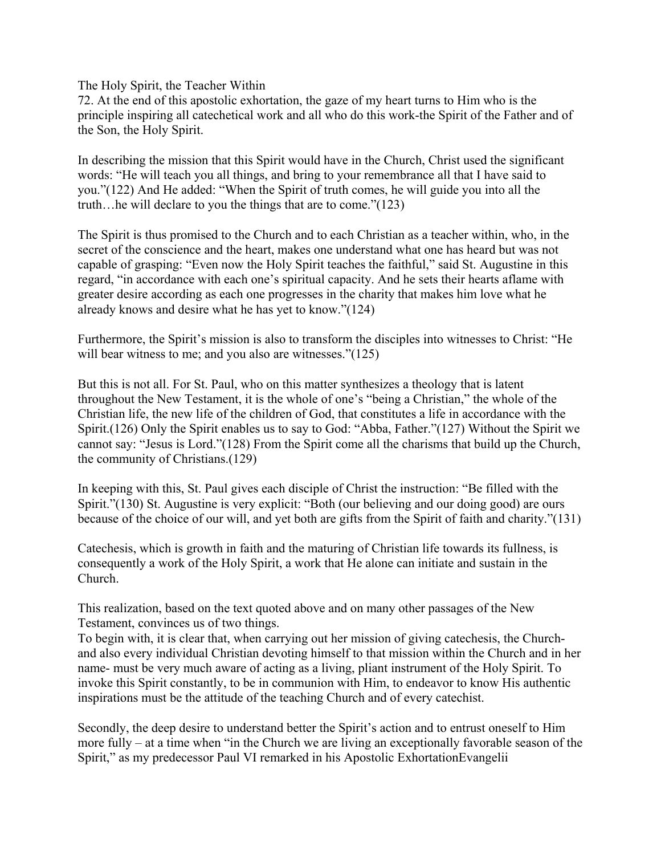The Holy Spirit, the Teacher Within

72. At the end of this apostolic exhortation, the gaze of my heart turns to Him who is the principle inspiring all catechetical work and all who do this work-the Spirit of the Father and of the Son, the Holy Spirit.

In describing the mission that this Spirit would have in the Church, Christ used the significant words: "He will teach you all things, and bring to your remembrance all that I have said to you."(122) And He added: "When the Spirit of truth comes, he will guide you into all the truth…he will declare to you the things that are to come."(123)

The Spirit is thus promised to the Church and to each Christian as a teacher within, who, in the secret of the conscience and the heart, makes one understand what one has heard but was not capable of grasping: "Even now the Holy Spirit teaches the faithful," said St. Augustine in this regard, "in accordance with each one's spiritual capacity. And he sets their hearts aflame with greater desire according as each one progresses in the charity that makes him love what he already knows and desire what he has yet to know."(124)

Furthermore, the Spirit's mission is also to transform the disciples into witnesses to Christ: "He will bear witness to me; and you also are witnesses."(125)

But this is not all. For St. Paul, who on this matter synthesizes a theology that is latent throughout the New Testament, it is the whole of one's "being a Christian," the whole of the Christian life, the new life of the children of God, that constitutes a life in accordance with the Spirit.(126) Only the Spirit enables us to say to God: "Abba, Father."(127) Without the Spirit we cannot say: "Jesus is Lord."(128) From the Spirit come all the charisms that build up the Church, the community of Christians.(129)

In keeping with this, St. Paul gives each disciple of Christ the instruction: "Be filled with the Spirit."(130) St. Augustine is very explicit: "Both (our believing and our doing good) are ours because of the choice of our will, and yet both are gifts from the Spirit of faith and charity."(131)

Catechesis, which is growth in faith and the maturing of Christian life towards its fullness, is consequently a work of the Holy Spirit, a work that He alone can initiate and sustain in the Church.

This realization, based on the text quoted above and on many other passages of the New Testament, convinces us of two things.

To begin with, it is clear that, when carrying out her mission of giving catechesis, the Churchand also every individual Christian devoting himself to that mission within the Church and in her name- must be very much aware of acting as a living, pliant instrument of the Holy Spirit. To invoke this Spirit constantly, to be in communion with Him, to endeavor to know His authentic inspirations must be the attitude of the teaching Church and of every catechist.

Secondly, the deep desire to understand better the Spirit's action and to entrust oneself to Him more fully – at a time when "in the Church we are living an exceptionally favorable season of the Spirit," as my predecessor Paul VI remarked in his Apostolic ExhortationEvangelii